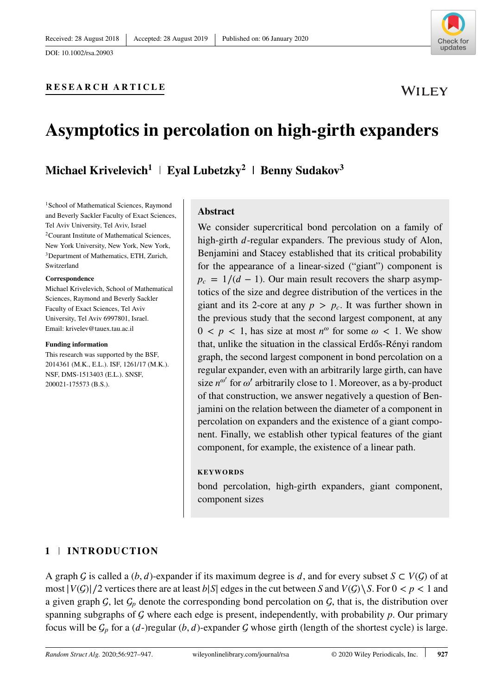

WILEY

# **RESEARCH ARTICLE**

# **Asymptotics in percolation on high-girth expanders**

**Michael Krivelevich<sup>1</sup> | Eyal Lubetzky<sup>2</sup> | Benny Sudakov<sup>3</sup>** 

<sup>1</sup>School of Mathematical Sciences, Raymond and Beverly Sackler Faculty of Exact Sciences, Tel Aviv University, Tel Aviv, Israel 2Courant Institute of Mathematical Sciences, New York University, New York, New York, 3Department of Mathematics, ETH, Zurich, Switzerland

#### **Correspondence**

Michael Krivelevich, School of Mathematical Sciences, Raymond and Beverly Sackler Faculty of Exact Sciences, Tel Aviv University, Tel Aviv 6997801, Israel. Email: krivelev@tauex.tau.ac.il

#### **Funding information**

This research was supported by the BSF, 2014361 (M.K., E.L.). ISF, 1261/17 (M.K.). NSF, DMS-1513403 (E.L.). SNSF, 200021-175573 (B.S.).

# **Abstract**

We consider supercritical bond percolation on a family of high-girth  $d$ -regular expanders. The previous study of Alon, Benjamini and Stacey established that its critical probability for the appearance of a linear-sized ("giant") component is  $p_c = 1/(d - 1)$ . Our main result recovers the sharp asymptotics of the size and degree distribution of the vertices in the giant and its 2-core at any  $p > p_c$ . It was further shown in the previous study that the second largest component, at any  $0 < p < 1$ , has size at most  $n^{\omega}$  for some  $\omega < 1$ . We show that, unlike the situation in the classical Erdős-Rényi random graph, the second largest component in bond percolation on a regular expander, even with an arbitrarily large girth, can have size  $n^{\omega'}$  for  $\omega'$  arbitrarily close to 1. Moreover, as a by-product of that construction, we answer negatively a question of Benjamini on the relation between the diameter of a component in percolation on expanders and the existence of a giant component. Finally, we establish other typical features of the giant component, for example, the existence of a linear path.

#### **KEYWORDS**

bond percolation, high-girth expanders, giant component, component sizes

# **1 INTRODUCTION**

A graph  $G$  is called a  $(b, d)$ -expander if its maximum degree is  $d$ , and for every subset  $S \subset V(G)$  of at most  $|V(G)|/2$  vertices there are at least  $b|S|$  edges in the cut between *S* and  $V(G) \setminus S$ . For 0 < *p* < 1 and a given graph  $\mathcal{G}$ , let  $\mathcal{G}_p$  denote the corresponding bond percolation on  $\mathcal{G}$ , that is, the distribution over spanning subgraphs of  $G$  where each edge is present, independently, with probability  $p$ . Our primary focus will be  $\mathcal{G}_p$  for a (d-)regular (*b*, d)-expander  $\mathcal G$  whose girth (length of the shortest cycle) is large.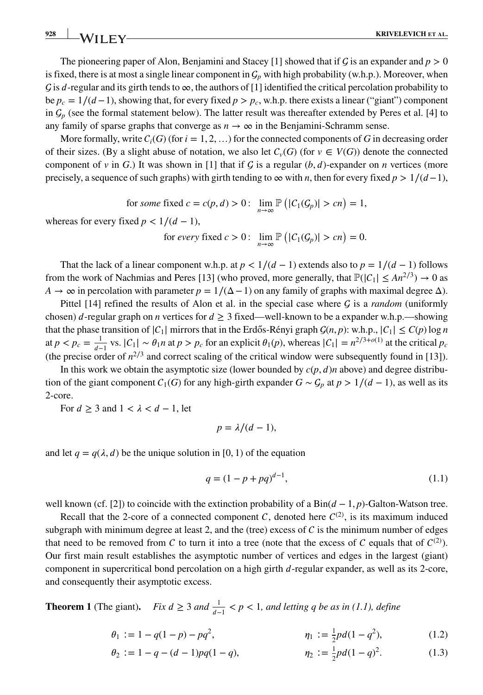**928 KRIVELEVICH** ET AL.

The pioneering paper of Alon, Benjamini and Stacey [1] showed that if  $\mathcal G$  is an expander and  $p > 0$ is fixed, there is at most a single linear component in  $G_p$  with high probability (w.h.p.). Moreover, when G is d-regular and its girth tends to  $\infty$ , the authors of [1] identified the critical percolation probability to be  $p_c = 1/(d-1)$ , showing that, for every fixed  $p > p_c$ , w.h.p. there exists a linear ("giant") component in  $\mathcal{G}_p$  (see the formal statement below). The latter result was thereafter extended by Peres et al. [4] to any family of sparse graphs that converge as  $n \to \infty$  in the Benjamini-Schramm sense.

More formally, write  $C_i(G)$  (for  $i = 1, 2, \ldots$ ) for the connected components of G in decreasing order of their sizes. (By a slight abuse of notation, we also let  $C_v(G)$  (for  $v \in V(G)$ ) denote the connected component of *v* in *G*.) It was shown in [1] that if  $G$  is a regular (*b*, *d*)-expander on *n* vertices (more precisely, a sequence of such graphs) with girth tending to  $\infty$  with *n*, then for every fixed  $p > 1/(d-1)$ ,

for *some* fixed  $c = c(p, d) > 0$ :  $\lim_{n \to \infty} \mathbb{P}(|C_1(G_p)| > cn) = 1$ ,

whereas for every fixed  $p < 1/(d - 1)$ ,

for *every* fixed  $c > 0$ :  $\lim_{n \to \infty} \mathbb{P}(|C_1(G_p)| > cn) = 0$ .

That the lack of a linear component w.h.p. at  $p < 1/(d - 1)$  extends also to  $p = 1/(d - 1)$  follows from the work of Nachmias and Peres [13] (who proved, more generally, that  $\mathbb{P}(|C_1| \leq An^{2/3}) \to 0$  as  $A \rightarrow \infty$  in percolation with parameter  $p = 1/(\Delta - 1)$  on any family of graphs with maximal degree  $\Delta$ ).

Pittel  $[14]$  refined the results of Alon et al. in the special case where  $\mathcal G$  is a *random* (uniformly chosen)  $d$ -regular graph on *n* vertices for  $d \geq 3$  fixed—well-known to be a expander w.h.p.—showing that the phase transition of  $|C_1|$  mirrors that in the Erdős-Rényi graph  $\mathcal{G}(n, p)$ : w.h.p.,  $|C_1| \le C(p) \log n$ at  $p < p_c = \frac{1}{d-1}$  vs.  $|C_1| \sim \theta_1 n$  at  $p > p_c$  for an explicit  $\theta_1(p)$ , whereas  $|C_1| = n^{2/3 + o(1)}$  at the critical  $p_c$ (the precise order of  $n^{2/3}$  and correct scaling of the critical window were subsequently found in [13]).

In this work we obtain the asymptotic size (lower bounded by  $c(p, d)n$  above) and degree distribution of the giant component  $C_1(G)$  for any high-girth expander  $G \sim C_p$  at  $p > 1/(d-1)$ , as well as its 2-core.

For  $d \geq 3$  and  $1 < \lambda < d - 1$ , let

$$
p = \lambda/(d-1),
$$

and let  $q = q(\lambda, d)$  be the unique solution in [0, 1) of the equation

$$
q = (1 - p + pq)^{d-1},\tag{1.1}
$$

well known (cf. [2]) to coincide with the extinction probability of a Bin( $d$  − 1*, p*)-Galton-Watson tree.

Recall that the 2-core of a connected component C, denoted here  $C^{(2)}$ , is its maximum induced subgraph with minimum degree at least 2, and the (tree) excess of  $C$  is the minimum number of edges that need to be removed from C to turn it into a tree (note that the excess of C equals that of  $C^{(2)}$ ). Our first main result establishes the asymptotic number of vertices and edges in the largest (giant) component in supercritical bond percolation on a high girth  $d$ -regular expander, as well as its 2-core, and consequently their asymptotic excess.

**Theorem 1** (The giant). *Fix*  $d \geq 3$  *and*  $\frac{1}{d-1} < p < 1$ *, and letting q be as in (1.1), define* 

$$
\theta_1 := 1 - q(1 - p) - pq^2, \qquad \eta_1 := \frac{1}{2}pd(1 - q^2), \qquad (1.2)
$$

$$
\theta_2 := 1 - q - (d - 1)pq(1 - q), \qquad \eta_2 := \frac{1}{2}pd(1 - q)^2. \tag{1.3}
$$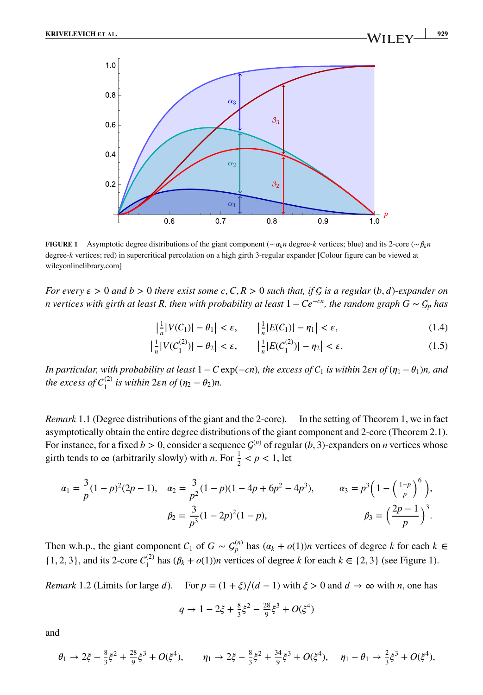

**FIGURE 1** Asymptotic degree distributions of the giant component (∼ $\alpha_k n$  degree-*k* vertices; blue) and its 2-core (∼ $\beta_k n$ degree-*k* vertices; red) in supercritical percolation on a high girth 3-regular expander [Colour figure can be viewed at [wileyonlinelibrary.com\]](http://wileyonlinelibrary.com)

*For every*  $\varepsilon > 0$  *and*  $b > 0$  *there exist some* c,  $C, R > 0$  *such that, if*  $G$  *is a regular* (*b, d*)*-expander on n* vertices with girth at least R, then with probability at least  $1 - Ce^{-cn}$ , the random graph  $G \sim \mathcal{G}_p$  has

$$
\left|\frac{1}{n}|V(C_1)| - \theta_1\right| < \varepsilon, \qquad \left|\frac{1}{n}|E(C_1)| - \eta_1\right| < \varepsilon,\tag{1.4}
$$

$$
\left|\frac{1}{n}|V(C_1^{(2)})| - \theta_2\right| < \varepsilon, \qquad \left|\frac{1}{n}|E(C_1^{(2)})| - \eta_2\right| < \varepsilon. \tag{1.5}
$$

*In particular, with probability at least*  $1 - C \exp(-cn)$ *, the excess of*  $C_1$  *is within* 2 $\epsilon$ *n of* ( $\eta_1 - \theta_1$ )*n, and the excess of*  $C_1^{(2)}$  *is within* 2 $\varepsilon$ *n of*  $(\eta_2 - \theta_2)n$ *.* 

*Remark* 1.1 (Degree distributions of the giant and the 2-core)*.* In the setting of Theorem 1, we in fact asymptotically obtain the entire degree distributions of the giant component and 2-core (Theorem 2.1). For instance, for a fixed  $b > 0$ , consider a sequence  $\mathcal{G}^{(n)}$  of regular (*b*, 3)-expanders on *n* vertices whose girth tends to  $\infty$  (arbitrarily slowly) with *n*. For  $\frac{1}{2} < p < 1$ , let

$$
\alpha_1 = \frac{3}{p}(1-p)^2(2p-1), \quad \alpha_2 = \frac{3}{p^2}(1-p)(1-4p+6p^2-4p^3), \qquad \alpha_3 = p^3\left(1-\left(\frac{1-p}{p}\right)^6\right),
$$

$$
\beta_2 = \frac{3}{p^3}(1-2p)^2(1-p), \qquad \beta_3 = \left(\frac{2p-1}{p}\right)^3.
$$

Then w.h.p., the giant component  $C_1$  of  $G \sim G_p^{(n)}$  has  $(\alpha_k + o(1))n$  vertices of degree k for each  $k \in$ {1, 2, 3}, and its 2-core  $C_1^{(2)}$  has  $(\beta_k + o(1))n$  vertices of degree *k* for each  $k \in \{2, 3\}$  (see Figure 1).

*Remark* 1.2 (Limits for large d). For  $p = (1 + \xi)/(d - 1)$  with  $\xi > 0$  and  $d \to \infty$  with *n*, one has

$$
q \to 1 - 2\xi + \frac{8}{3}\xi^2 - \frac{28}{9}\xi^3 + O(\xi^4)
$$

and

$$
\theta_1 \to 2\xi - \frac{8}{3}\xi^2 + \frac{28}{9}\xi^3 + O(\xi^4), \qquad \eta_1 \to 2\xi - \frac{8}{3}\xi^2 + \frac{34}{9}\xi^3 + O(\xi^4), \qquad \eta_1 - \theta_1 \to \frac{2}{3}\xi^3 + O(\xi^4),
$$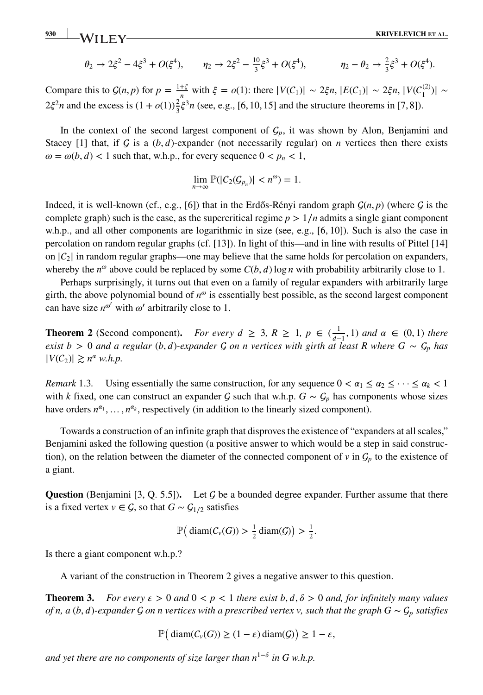**930 KRIVELEVICH** ET AL.

$$
\theta_2 \to 2\xi^2 - 4\xi^3 + O(\xi^4),
$$
  $\eta_2 \to 2\xi^2 - \frac{10}{3}\xi^3 + O(\xi^4),$   $\eta_2 - \theta_2 \to \frac{2}{3}\xi^3 + O(\xi^4).$ 

Compare this to  $G(n, p)$  for  $p = \frac{1+\xi}{n}$  with  $\xi = o(1)$ : there  $|V(C_1)| \sim 2\xi n, |E(C_1)| \sim 2\xi n, |V(C_1^{(2)})| \sim$  $2\xi^2 n$  and the excess is  $(1 + o(1))\frac{2}{3}\xi^3 n$  (see, e.g., [6, 10, 15] and the structure theorems in [7, 8]).

In the context of the second largest component of  $G_p$ , it was shown by Alon, Benjamini and Stacey [1] that, if  $G$  is a  $(b, d)$ -expander (not necessarily regular) on *n* vertices then there exists  $\omega = \omega(b, d) < 1$  such that, w.h.p., for every sequence  $0 < p_n < 1$ ,

$$
\lim_{n\to\infty}\mathbb{P}(|C_2(\mathcal{G}_{p_n})|
$$

Indeed, it is well-known (cf., e.g., [6]) that in the Erdős-Rényi random graph  $G(n, p)$  (where G is the complete graph) such is the case, as the supercritical regime  $p > 1/n$  admits a single giant component w.h.p., and all other components are logarithmic in size (see, e.g., [6, 10]). Such is also the case in percolation on random regular graphs (cf. [13]). In light of this—and in line with results of Pittel [14] on  $|C_2|$  in random regular graphs—one may believe that the same holds for percolation on expanders, whereby the  $n^{\omega}$  above could be replaced by some  $C(b, d)$  log *n* with probability arbitrarily close to 1.

Perhaps surprisingly, it turns out that even on a family of regular expanders with arbitrarily large girth, the above polynomial bound of  $n^{\omega}$  is essentially best possible, as the second largest component can have size  $n^{\omega'}$  with  $\omega'$  arbitrarily close to 1.

**Theorem 2** (Second component). *For every*  $d \geq 3$ ,  $R \geq 1$ ,  $p \in (\frac{1}{d-1}, 1)$  and  $\alpha \in (0, 1)$  there *exist b* > 0 *and a regular* (*b*, *d*)*-expander*  $G$  *on n vertices with girth at least R where*  $G \sim G_p$  *has*  $|V(C_2)| \geq n^{\alpha}$  *w.h.p.* 

*Remark* 1.3. Using essentially the same construction, for any sequence  $0 < \alpha_1 \leq \alpha_2 \leq \cdots \leq \alpha_k < 1$ with *k* fixed, one can construct an expander G such that w.h.p.  $G \sim \mathcal{G}_p$  has components whose sizes have orders  $n^{\alpha_1}, \ldots, n^{\alpha_k}$ , respectively (in addition to the linearly sized component).

Towards a construction of an infinite graph that disproves the existence of "expanders at all scales," Benjamini asked the following question (a positive answer to which would be a step in said construction), on the relation between the diameter of the connected component of  $v$  in  $\mathcal{G}_p$  to the existence of a giant.

**Question** (Benjamini [3, Q. 5.5]). Let  $\mathcal G$  be a bounded degree expander. Further assume that there is a fixed vertex  $v \in \mathcal{G}$ , so that  $G \sim \mathcal{G}_{1/2}$  satisfies

$$
\mathbb{P}\big(\operatorname{diam}(C_v(G)) > \frac{1}{2}\operatorname{diam}(G)\big) > \frac{1}{2}.
$$

Is there a giant component w.h.p.?

A variant of the construction in Theorem 2 gives a negative answer to this question.

**Theorem 3.** *For every*  $\epsilon > 0$  *and*  $0 < p < 1$  *there exist*  $b, d, \delta > 0$  *and, for infinitely many values of n, a* (*b, d*)*-expander*  $G$  *on n vertices with a prescribed vertex v, such that the graph*  $G \sim G_p$  *satisfies* 

$$
\mathbb{P}\big(\operatorname{diam}(C_{\nu}(G))\geq(1-\varepsilon)\operatorname{diam}(G)\big)\geq1-\varepsilon,
$$

*and yet there are no components of size larger than n*<sup>1− $\delta$ </sup> *in G w.h.p.*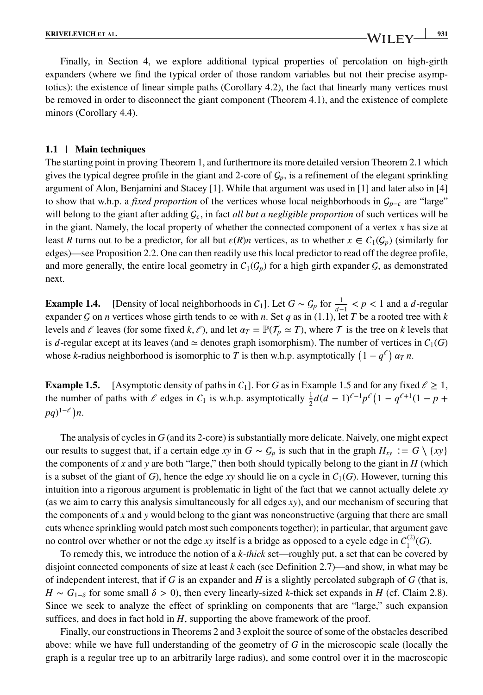#### **1.1 Main techniques**

The starting point in proving Theorem 1, and furthermore its more detailed version Theorem 2.1 which gives the typical degree profile in the giant and 2-core of  $\mathcal{G}_p$ , is a refinement of the elegant sprinkling argument of Alon, Benjamini and Stacey [1]. While that argument was used in [1] and later also in [4] to show that w.h.p. a *fixed proportion* of the vertices whose local neighborhoods in  $\mathcal{G}_{p-\epsilon}$  are "large" will belong to the giant after adding  $\mathcal{G}_{\epsilon}$ , in fact *all but a negligible proportion* of such vertices will be in the giant. Namely, the local property of whether the connected component of a vertex *x* has size at least *R* turns out to be a predictor, for all but  $\varepsilon(R)n$  vertices, as to whether  $x \in C_1(G_p)$  (similarly for edges)—see Proposition 2.2. One can then readily use this local predictor to read off the degree profile, and more generally, the entire local geometry in  $C_1(\mathcal{G}_p)$  for a high girth expander  $\mathcal{G}$ , as demonstrated next.

**Example 1.4.** [Density of local neighborhoods in  $C_1$ ]. Let  $G \sim G_p$  for  $\frac{1}{d-1} < p < 1$  and a *d*-regular expander  $\mathcal G$  on *n* vertices whose girth tends to  $\infty$  with *n*. Set  $q$  as in (1.1), let  $T$  be a rooted tree with  $k$ levels and  $\ell$  leaves (for some fixed  $k, \ell$ ), and let  $\alpha_T = \mathbb{P}(\mathcal{T}_n \simeq T)$ , where  $\mathcal T$  is the tree on *k* levels that is d-regular except at its leaves (and  $\simeq$  denotes graph isomorphism). The number of vertices in  $C_1(G)$ whose *k*-radius neighborhood is isomorphic to *T* is then w.h.p. asymptotically  $(1 - q^{\ell}) \alpha_T n$ .

**Example 1.5.** [Asymptotic density of paths in  $C_1$ ]. For *G* as in Example 1.5 and for any fixed  $\ell \ge 1$ , the number of paths with  $\ell$  edges in  $C_1$  is w.h.p. asymptotically  $\frac{1}{2}d(d-1)^{\ell-1}p^{\ell}(1-q^{\ell+1}(1-p+1))$ *pq*)<sup>1– $\ell$ </sup>)*n*.

The analysis of cycles in *G* (and its 2-core) is substantially more delicate. Naively, one might expect our results to suggest that, if a certain edge *xy* in  $G \sim G_p$  is such that in the graph  $H_{xy} := G \setminus \{xy\}$ the components of *x* and *y* are both "large," then both should typically belong to the giant in  $H$  (which is a subset of the giant of *G*), hence the edge *xy* should lie on a cycle in  $C_1(G)$ . However, turning this intuition into a rigorous argument is problematic in light of the fact that we cannot actually delete *xy* (as we aim to carry this analysis simultaneously for all edges *xy*), and our mechanism of securing that the components of *x* and *y* would belong to the giant was nonconstructive (arguing that there are small cuts whence sprinkling would patch most such components together); in particular, that argument gave no control over whether or not the edge *xy* itself is a bridge as opposed to a cycle edge in  $C_1^{(2)}(G)$ .

To remedy this, we introduce the notion of a *k-thick* set—roughly put, a set that can be covered by disjoint connected components of size at least *k* each (see Definition 2.7)—and show, in what may be of independent interest, that if *G* is an expander and *H* is a slightly percolated subgraph of *G* (that is,  $H \sim G_{1-\delta}$  for some small  $\delta > 0$ ), then every linearly-sized *k*-thick set expands in *H* (cf. Claim 2.8). Since we seek to analyze the effect of sprinkling on components that are "large," such expansion suffices, and does in fact hold in  $H$ , supporting the above framework of the proof.

Finally, our constructions in Theorems 2 and 3 exploit the source of some of the obstacles described above: while we have full understanding of the geometry of *G* in the microscopic scale (locally the graph is a regular tree up to an arbitrarily large radius), and some control over it in the macroscopic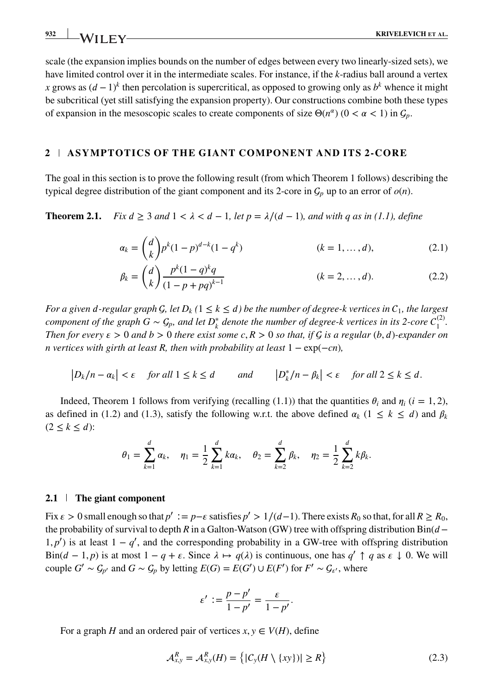scale (the expansion implies bounds on the number of edges between every two linearly-sized sets), we have limited control over it in the intermediate scales. For instance, if the *k*-radius ball around a vertex *x* grows as  $(d-1)^k$  then percolation is supercritical, as opposed to growing only as  $b^k$  whence it might be subcritical (yet still satisfying the expansion property). Our constructions combine both these types of expansion in the mesoscopic scales to create components of size  $\Theta(n^{\alpha})$  ( $0 < \alpha < 1$ ) in  $\mathcal{G}_p$ .

#### **2 ASYMPTOTICS OF THE GIANT COMPONENT AND ITS 2-CORE**

The goal in this section is to prove the following result (from which Theorem 1 follows) describing the typical degree distribution of the giant component and its 2-core in  $G_p$  up to an error of  $o(n)$ .

**Theorem 2.1.** *Fix*  $d \geq 3$  *and*  $1 < \lambda < d - 1$ *, let*  $p = \lambda/(d - 1)$ *, and with q as in (1.1), define* 

$$
\alpha_k = \binom{d}{k} p^k (1-p)^{d-k} (1-q^k) \tag{2.1}
$$

$$
\beta_k = \binom{d}{k} \frac{p^k (1-q)^k q}{(1-p+pq)^{k-1}} \tag{2.2}
$$

*For a given d-regular graph G, let*  $D_k$  ( $1 \le k \le d$ ) be the number of degree-k vertices in  $C_1$ , the largest *component of the graph G*  $\sim$   $\mathcal{G}_p$ , and let  $D_k^*$  denote the number of degree-k vertices in its 2-core  $C_1^{(2)}$ . *Then for every*  $\epsilon > 0$  *and*  $b > 0$  *there exist some*  $c, R > 0$  *so that, if*  $C$  *is a regular* (*b, d*)*-expander on n* vertices with girth at least R, then with probability at least 1 − exp(−*cn*)*,* 

$$
\left|D_k/n - \alpha_k\right| < \varepsilon \quad \text{for all } 1 \le k \le d \quad \text{and} \quad \left|D_k^*/n - \beta_k\right| < \varepsilon \quad \text{for all } 2 \le k \le d.
$$

Indeed, Theorem 1 follows from verifying (recalling (1.1)) that the quantities  $\theta_i$  and  $\eta_i$  ( $i = 1, 2$ ), as defined in (1.2) and (1.3), satisfy the following w.r.t. the above defined  $\alpha_k$  (1  $\leq k \leq d$ ) and  $\beta_k$  $(2 \leq k \leq d)$ :

$$
\theta_1 = \sum_{k=1}^d \alpha_k
$$
,  $\eta_1 = \frac{1}{2} \sum_{k=1}^d k \alpha_k$ ,  $\theta_2 = \sum_{k=2}^d \beta_k$ ,  $\eta_2 = \frac{1}{2} \sum_{k=2}^d k \beta_k$ .

#### **2.1 The giant component**

Fix  $\varepsilon > 0$  small enough so that  $p' := p - \varepsilon$  satisfies  $p' > 1/(d-1)$ . There exists  $R_0$  so that, for all  $R \ge R_0$ , the probability of survival to depth *R* in a Galton-Watson (GW) tree with offspring distribution Bin( $d 1, p'$ ) is at least  $1 - q'$ , and the corresponding probability in a GW-tree with offspring distribution Bin( $d - 1, p$ ) is at most  $1 - q + \varepsilon$ . Since  $\lambda \mapsto q(\lambda)$  is continuous, one has  $q' \uparrow q$  as  $\varepsilon \downarrow 0$ . We will couple *G'* ∼  $G_p$ <sup>*'*</sup> and *G* ∼  $G_p$  by letting  $E(G) = E(G') \cup E(F')$  for  $F' \sim G_{\epsilon'}$ , where

$$
\varepsilon' := \frac{p - p'}{1 - p'} = \frac{\varepsilon}{1 - p'}.
$$

For a graph *H* and an ordered pair of vertices  $x, y \in V(H)$ , define

$$
\mathcal{A}_{x,y}^R = \mathcal{A}_{x,y}^R(H) = \left\{ |C_y(H \setminus \{xy\})| \ge R \right\}
$$
\n(2.3)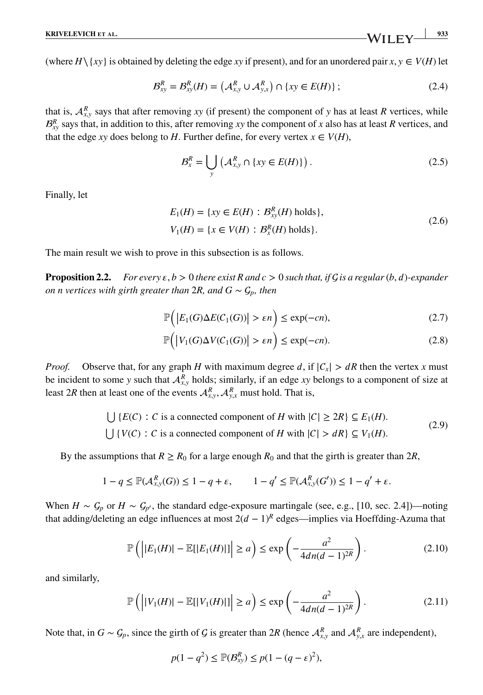(where  $H \setminus \{xy\}$  is obtained by deleting the edge *xy* if present), and for an unordered pair  $x, y \in V(H)$  let

$$
\mathcal{B}_{xy}^R = \mathcal{B}_{xy}^R(H) = (A_{x,y}^R \cup A_{y,x}^R) \cap \{xy \in E(H)\};
$$
\n(2.4)

that is,  $A_{x,y}^R$  says that after removing *xy* (if present) the component of *y* has at least *R* vertices, while  $B_{xy}^R$  says that, in addition to this, after removing *xy* the component of *x* also has at least *R* vertices, and that the edge *xy* does belong to *H*. Further define, for every vertex  $x \in V(H)$ ,

$$
\mathcal{B}_x^R = \bigcup_{y} \left( \mathcal{A}_{x,y}^R \cap \{ xy \in E(H) \} \right). \tag{2.5}
$$

Finally, let

$$
E_1(H) = \{ xy \in E(H) : B_{xy}^R(H) \text{ holds} \},
$$
  
\n
$$
V_1(H) = \{ x \in V(H) : B_x^R(H) \text{ holds} \}.
$$
\n(2.6)

The main result we wish to prove in this subsection is as follows.

**Proposition 2.2.** *For every*  $\epsilon$ ,  $b > 0$  *there exist R and*  $c > 0$  *such that, if*  $\mathcal{G}$  *is a regular*  $(b, d)$ *<i>-expander on n vertices with girth greater than* 2*R, and*  $G \sim \mathcal{G}_p$ *, then* 

$$
\mathbb{P}\Big(\big|E_1(G)\Delta E(C_1(G))\big| > \varepsilon n\Big) \le \exp(-cn),\tag{2.7}
$$

$$
\mathbb{P}\Big(\big|V_1(G)\Delta V(C_1(G))\big| > \varepsilon n\Big) \le \exp(-cn). \tag{2.8}
$$

*Proof.* Observe that, for any graph *H* with maximum degree *d*, if  $|C_x| > dR$  then the vertex *x* must be incident to some *y* such that  $A_{x,y}^R$  holds; similarly, if an edge *xy* belongs to a component of size at least 2*R* then at least one of the events  $A_{x,y}^R$ ,  $A_{y,x}^R$  must hold. That is,

$$
\bigcup \{E(C) : C \text{ is a connected component of } H \text{ with } |C| \ge 2R\} \subseteq E_1(H).
$$
\n
$$
\bigcup \{V(C) : C \text{ is a connected component of } H \text{ with } |C| > dR\} \subseteq V_1(H).
$$
\n
$$
(2.9)
$$

By the assumptions that  $R \ge R_0$  for a large enough  $R_0$  and that the girth is greater than 2*R*,

$$
1 - q \le \mathbb{P}(\mathcal{A}_{x,y}^R(G)) \le 1 - q + \varepsilon, \qquad 1 - q' \le \mathbb{P}(\mathcal{A}_{x,y}^R(G')) \le 1 - q' + \varepsilon.
$$

When  $H \sim \mathcal{G}_p$  or  $H \sim \mathcal{G}_{p'}$ , the standard edge-exposure martingale (see, e.g., [10, sec. 2.4])—noting that adding/deleting an edge influences at most  $2(d-1)^R$  edges—implies via Hoeffding-Azuma that

$$
\mathbb{P}\left(\left|\left|E_1(H)\right| - \mathbb{E}[\left|E_1(H)\right|\right|\right| \ge a\right) \le \exp\left(-\frac{a^2}{4dn(d-1)^{2R}}\right). \tag{2.10}
$$

and similarly,

$$
\mathbb{P}\left(\left|\left|V_1(H)\right|-\mathbb{E}[\left|V_1(H)\right|\right|\right|\geq a\right)\leq \exp\left(-\frac{a^2}{4dn(d-1)^{2R}}\right).
$$
\n(2.11)

Note that, in  $G \sim G_p$ , since the girth of G is greater than 2R (hence  $\mathcal{A}_{x,y}^R$  and  $\mathcal{A}_{y,x}^R$  are independent),

$$
p(1 - q^2) \le \mathbb{P}(\mathcal{B}_{xy}^R) \le p(1 - (q - \varepsilon)^2),
$$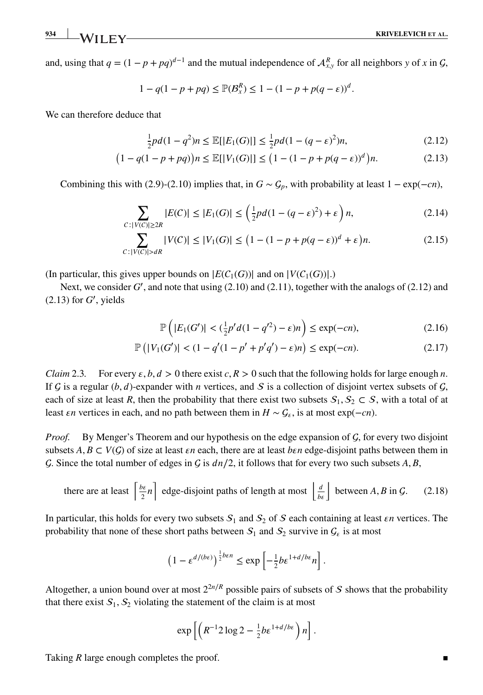and, using that  $q = (1 - p + pq)^{d-1}$  and the mutual independence of  $A_{x,y}^R$  for all neighbors *y* of *x* in *G*,

$$
1 - q(1 - p + pq) \leq \mathbb{P}(B_{x}^{R}) \leq 1 - (1 - p + p(q - \varepsilon))^{d}.
$$

We can therefore deduce that

$$
\frac{1}{2}pd(1-q^2)n \le \mathbb{E}[|E_1(G)|] \le \frac{1}{2}pd(1-(q-\varepsilon)^2)n,
$$
\n(2.12)

$$
(1 - q(1 - p + pq))n \le \mathbb{E}[|V_1(G)|] \le (1 - (1 - p + p(q - \varepsilon))^d)n.
$$
 (2.13)

Combining this with (2.9)-(2.10) implies that, in  $G \sim \mathcal{G}_p$ , with probability at least  $1 - \exp(-cn)$ ,

$$
\sum_{C: |V(C)| \ge 2R} |E(C)| \le |E_1(G)| \le \left(\frac{1}{2}pd(1 - (q - \varepsilon)^2) + \varepsilon\right)n,\tag{2.14}
$$

$$
\sum_{C:|V(C)|>dR} |V(C)| \le |V_1(G)| \le \left(1 - (1 - p + p(q - \varepsilon))^d + \varepsilon\right)n. \tag{2.15}
$$

(In particular, this gives upper bounds on  $|E(C_1(G))|$  and on  $|V(C_1(G))|$ .)

Next, we consider G', and note that using (2.10) and (2.11), together with the analogs of (2.12) and  $(2.13)$  for  $G'$ , yields

$$
\mathbb{P}\left(|E_1(G')| < \left(\frac{1}{2}p'd(1-q'^2) - \varepsilon\right)n\right) \le \exp(-cn),\tag{2.16}
$$

$$
\mathbb{P}\left(|V_1(G')| < (1 - q'(1 - p' + p'q') - \varepsilon)n\right) \le \exp(-cn). \tag{2.17}
$$

*Claim* 2.3. For every  $\epsilon$ ,  $b$ ,  $d > 0$  there exist  $c$ ,  $R > 0$  such that the following holds for large enough *n*. If  $G$  is a regular (*b*, *d*)-expander with *n* vertices, and  $S$  is a collection of disjoint vertex subsets of  $G$ , each of size at least *R*, then the probability that there exist two subsets  $S_1, S_2 \subset S$ , with a total of at least *εn* vertices in each, and no path between them in  $H ∼ G_{\epsilon}$ , is at most exp(−*cn*).

*Proof.* By Menger's Theorem and our hypothesis on the edge expansion of  $\mathcal{G}$ , for every two disjoint subsets  $A, B \subset V(G)$  of size at least *en* each, there are at least *ben* edge-disjoint paths between them in  $\mathcal{G}$ . Since the total number of edges in  $\mathcal{G}$  is  $dn/2$ , it follows that for every two such subsets  $A$ ,  $B$ ,

there are at least 
$$
\left[\frac{b\epsilon}{2}n\right]
$$
 edge-disjoint paths of length at most  $\left\lfloor\frac{d}{b\epsilon}\right\rfloor$  between *A*, *B* in *G*. (2.18)

In particular, this holds for every two subsets  $S_1$  and  $S_2$  of  $S$  each containing at least  $\epsilon n$  vertices. The probability that none of these short paths between  $S_1$  and  $S_2$  survive in  $\mathcal{G}_{\varepsilon}$  is at most

$$
\left(1 - \varepsilon^{d/(b\varepsilon)}\right)^{\frac{1}{2}b\varepsilon n} \le \exp\left[-\frac{1}{2}b\varepsilon^{1+d/b\varepsilon}n\right].
$$

Altogether, a union bound over at most  $2^{2n/R}$  possible pairs of subsets of S shows that the probability that there exist  $S_1$ ,  $S_2$  violating the statement of the claim is at most

$$
\exp\left[\left(R^{-1}2\log 2-\frac{1}{2}b\epsilon^{1+d/b\epsilon}\right)n\right].
$$

Taking *R* large enough completes the proof.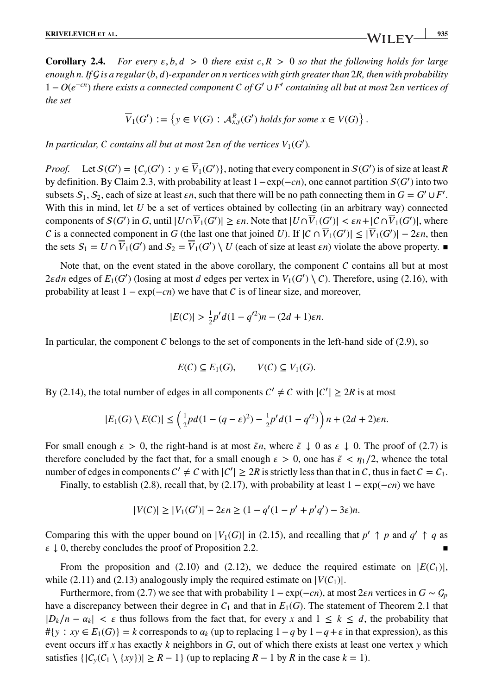**Corollary 2.4.** *For every*  $\varepsilon, b, d > 0$  *there exist*  $c, R > 0$  *so that the following holds for large enough n. If is a regular*(*b,* )*-expander on n vertices with girth greater than* 2*R, then with probability* 1 − *O*(*e*<sup>−</sup>*cn*) *there exists a connected component of G*′ ∪ *F*′ *containing all but at most* 2*n vertices of the set*

$$
\overline{V}_1(G') := \left\{ y \in V(G) : \mathcal{A}_{x,y}^R(G') \text{ holds for some } x \in V(G) \right\}.
$$

In particular, C contains all but at most  $2\varepsilon n$  of the vertices  $V_1(G')$ .

*Proof.* Let  $S(G') = \{C_y(G') : y \in V_1(G')\}$ , noting that every component in  $S(G')$  is of size at least *R* by definition. By Claim 2.3, with probability at least 1−exp(−*cn*), one cannot partition (*G*′ ) into two subsets  $S_1, S_2$ , each of size at least  $\epsilon n$ , such that there will be no path connecting them in  $G = G' \cup F'$ . With this in mind, let *U* be a set of vertices obtained by collecting (in an arbitrary way) connected components of  $S(G')$  in *G*, until  $|U \cap V_1(G')| \ge \varepsilon n$ . Note that  $|U \cap V_1(G')| < \varepsilon n + |C \cap V_1(G')|$ , where *C* is a connected component in *G* (the last one that joined *U*). If  $|C \cap V_1(G')| \leq |V_1(G')| - 2\epsilon n$ , then the sets  $S_1 = U \cap V_1(G')$  and  $S_2 = V_1(G') \setminus U$  (each of size at least  $\epsilon n$ ) violate the above property.

Note that, on the event stated in the above corollary, the component  $C$  contains all but at most 2 $\varepsilon$ *dn* edges of  $E_1(G')$  (losing at most *d* edges per vertex in  $V_1(G') \setminus C$ ). Therefore, using (2.16), with probability at least  $1 - \exp(-cn)$  we have that C is of linear size, and moreover,

$$
|E(C)| > \frac{1}{2}p'd(1-q'^2)n - (2d+1)\varepsilon n.
$$

In particular, the component  $C$  belongs to the set of components in the left-hand side of (2.9), so

$$
E(C) \subseteq E_1(G), \qquad V(C) \subseteq V_1(G).
$$

By (2.14), the total number of edges in all components  $C' \neq C$  with  $|C'| \geq 2R$  is at most

$$
|E_1(G)\setminus E(C)| \leq \left(\frac{1}{2}pd(1-(q-\varepsilon)^2)-\frac{1}{2}p'd(1-q'^2)\right)n+(2d+2)\varepsilon n.
$$

For small enough  $\varepsilon > 0$ , the right-hand is at most  $\tilde{\varepsilon}$ *n*, where  $\tilde{\varepsilon} \downarrow 0$  as  $\varepsilon \downarrow 0$ . The proof of (2.7) is therefore concluded by the fact that, for a small enough  $\epsilon > 0$ , one has  $\tilde{\epsilon} < \eta_1/2$ , whence the total number of edges in components  $C' \neq C$  with  $|C'| \geq 2R$  is strictly less than that in C, thus in fact  $C = C_1$ .

Finally, to establish (2.8), recall that, by (2.17), with probability at least 1 − exp(−*cn*) we have

$$
|V(C)| \ge |V_1(G')| - 2\epsilon n \ge (1 - q'(1 - p' + p'q') - 3\epsilon)n.
$$

Comparing this with the upper bound on  $|V_1(G)|$  in (2.15), and recalling that  $p' \uparrow p$  and  $q' \uparrow q$  as  $\epsilon \downarrow 0$ , thereby concludes the proof of Proposition 2.2.

From the proposition and (2.10) and (2.12), we deduce the required estimate on  $|E(C_1)|$ , while (2.11) and (2.13) analogously imply the required estimate on  $|V(C_1)|$ .

Furthermore, from (2.7) we see that with probability  $1 - \exp(-cn)$ , at most 2 $\epsilon n$  vertices in  $G \sim G_p$ have a discrepancy between their degree in  $C_1$  and that in  $E_1(G)$ . The statement of Theorem 2.1 that  $|D_k/n - \alpha_k|$  <  $\varepsilon$  thus follows from the fact that, for every *x* and  $1 \le k \le d$ , the probability that  $\#{y : xy \in E_1(G)}$  = *k* corresponds to  $\alpha_k$  (up to replacing  $1-q$  by  $1-q+\epsilon$  in that expression), as this event occurs iff *x* has exactly *k* neighbors in *G*, out of which there exists at least one vertex *y* which satisfies  $\{|C_v(C_1 \setminus \{xy\})| \ge R - 1\}$  (up to replacing  $R - 1$  by  $R$  in the case  $k = 1$ ).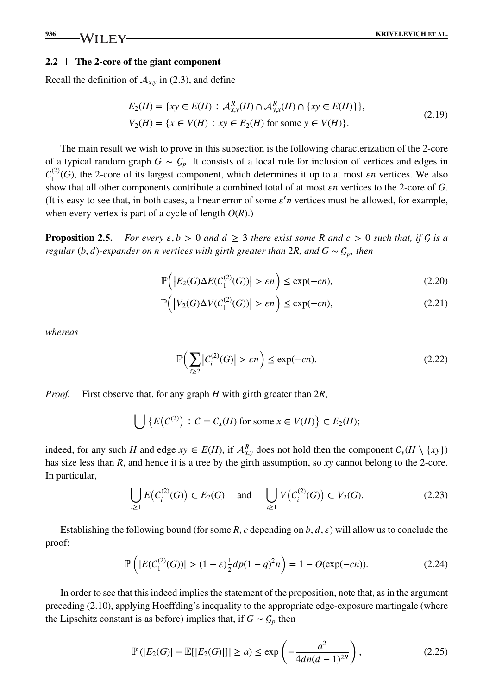#### **2.2 The 2-core of the giant component**

Recall the definition of  $A_{xy}$  in (2.3), and define

$$
E_2(H) = \{ xy \in E(H) : \mathcal{A}_{x,y}^R(H) \cap \mathcal{A}_{y,x}^R(H) \cap \{ xy \in E(H) \} \},
$$
  
\n
$$
V_2(H) = \{ x \in V(H) : xy \in E_2(H) \text{ for some } y \in V(H) \}.
$$
\n(2.19)

The main result we wish to prove in this subsection is the following characterization of the 2-core of a typical random graph  $G \sim G_p$ . It consists of a local rule for inclusion of vertices and edges in  $C_1^{(2)}(G)$ , the 2-core of its largest component, which determines it up to at most  $\epsilon n$  vertices. We also show that all other components contribute a combined total of at most  $\epsilon n$  vertices to the 2-core of *G*. (It is easy to see that, in both cases, a linear error of some  $\varepsilon' n$  vertices must be allowed, for example, when every vertex is part of a cycle of length *O*(*R*).)

**Proposition 2.5.** *For every*  $\varepsilon, b > 0$  *and*  $d \geq 3$  *there exist some* R *and*  $c > 0$  *such that, if*  $G$  *is a regular* (*b*, *d*)*-expander on n vertices with girth greater than* 2*R*, and  $G \sim G_n$ , then

$$
\mathbb{P}\Big(\big|E_2(G)\Delta E(C_1^{(2)}(G))\big| > \varepsilon n\Big) \le \exp(-cn),\tag{2.20}
$$

$$
\mathbb{P}\Big(\big|V_2(G)\Delta V(C_1^{(2)}(G))\big| > \varepsilon n\Big) \le \exp(-cn),\tag{2.21}
$$

*whereas*

$$
\mathbb{P}\Big(\sum_{i\geq 2} |C_i^{(2)}(G)| > \varepsilon n\Big) \leq \exp(-cn). \tag{2.22}
$$

*Proof.* First observe that, for any graph *H* with girth greater than 2*R*,

$$
\bigcup \{ E(C^{(2)}) : C = C_x(H) \text{ for some } x \in V(H) \} \subset E_2(H);
$$

indeed, for any such *H* and edge  $xy \in E(H)$ , if  $\mathcal{A}_{x,y}^R$  does not hold then the component  $C_y(H \setminus \{xy\})$ has size less than *R*, and hence it is a tree by the girth assumption, so *xy* cannot belong to the 2-core. In particular,

$$
\bigcup_{i\geq 1} E(C_i^{(2)}(G)) \subset E_2(G) \quad \text{and} \quad \bigcup_{i\geq 1} V(C_i^{(2)}(G)) \subset V_2(G). \tag{2.23}
$$

Establishing the following bound (for some *R*, *c* depending on *b*, *d*,  $\varepsilon$ ) will allow us to conclude the proof:

$$
\mathbb{P}\left(|E(C_1^{(2)}(G))| > (1 - \varepsilon)\frac{1}{2}dp(1 - q)^2n\right) = 1 - O(\exp(-cn)).\tag{2.24}
$$

In order to see that this indeed implies the statement of the proposition, note that, as in the argument preceding (2.10), applying Hoeffding's inequality to the appropriate edge-exposure martingale (where the Lipschitz constant is as before) implies that, if  $G \sim \mathcal{G}_p$  then

$$
\mathbb{P}(|E_2(G)| - \mathbb{E}[|E_2(G)|]| \ge a) \le \exp\left(-\frac{a^2}{4dn(d-1)^{2R}}\right),\tag{2.25}
$$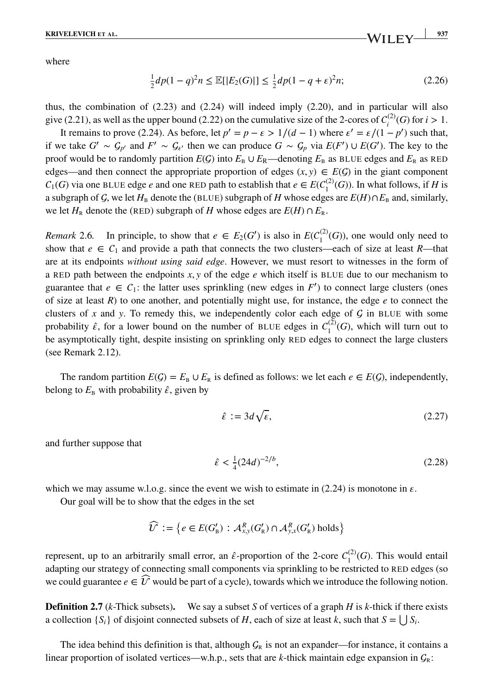where

$$
\frac{1}{2}dp(1-q)^2n \le \mathbb{E}[|E_2(G)|] \le \frac{1}{2}dp(1-q+\epsilon)^2n;\tag{2.26}
$$

thus, the combination of (2.23) and (2.24) will indeed imply (2.20), and in particular will also give (2.21), as well as the upper bound (2.22) on the cumulative size of the 2-cores of  $C_i^{(2)}(G)$  for  $i > 1$ .

It remains to prove (2.24). As before, let  $p' = p - \varepsilon > 1/(d - 1)$  where  $\varepsilon' = \varepsilon/(1 - p')$  such that, if we take  $G' \sim G_{p'}$  and  $F' \sim G_{\epsilon'}$  then we can produce  $G \sim G_p$  via  $E(F') \cup E(G')$ . The key to the proof would be to randomly partition  $E(G)$  into  $E_B \cup E_R$ —denoting  $E_B$  as BLUE edges and  $E_R$  as RED edges—and then connect the appropriate proportion of edges  $(x, y) \in E(G)$  in the giant component  $C_1(G)$  via one BLUE edge *e* and one RED path to establish that  $e \in E(C_1^{(2)}(G))$ . In what follows, if *H* is a subgraph of  $G$ , we let  $H_B$  denote the (BLUE) subgraph of  $H$  whose edges are  $E(H) \cap E_B$  and, similarly, we let  $H_R$  denote the (RED) subgraph of *H* whose edges are  $E(H) \cap E_R$ .

*Remark* 2.6. In principle, to show that  $e \in E_2(G')$  is also in  $E(C_1^{(2)}(G))$ , one would only need to show that  $e \in C_1$  and provide a path that connects the two clusters—each of size at least *R*—that are at its endpoints *without using said edge*. However, we must resort to witnesses in the form of a RED path between the endpoints *x, y* of the edge *e* which itself is BLUE due to our mechanism to guarantee that  $e \in C_1$ : the latter uses sprinkling (new edges in F') to connect large clusters (ones of size at least  $R$ ) to one another, and potentially might use, for instance, the edge  $e$  to connect the clusters of  $x$  and  $y$ . To remedy this, we independently color each edge of  $\mathcal G$  in BLUE with some probability  $\hat{\epsilon}$ , for a lower bound on the number of BLUE edges in  $C_1^{(2)}(G)$ , which will turn out to be asymptotically tight, despite insisting on sprinkling only RED edges to connect the large clusters (see Remark 2.12).

The random partition  $E(G) = E_B \cup E_R$  is defined as follows: we let each  $e \in E(G)$ , independently, belong to  $E_B$  with probability  $\hat{\epsilon}$ , given by

$$
\hat{\varepsilon} := 3d\sqrt{\varepsilon},\tag{2.27}
$$

and further suppose that

$$
\hat{\varepsilon} < \frac{1}{4} (24d)^{-2/b},\tag{2.28}
$$

which we may assume w.l.o.g. since the event we wish to estimate in (2.24) is monotone in  $\varepsilon$ .

Our goal will be to show that the edges in the set

$$
\widehat{\mathcal{U}} := \left\{ e \in E(G'_{\mathsf{B}}) : \mathcal{A}^R_{x,y}(G'_{\mathsf{R}}) \cap \mathcal{A}^R_{y,x}(G'_{\mathsf{R}}) \text{ holds} \right\}
$$

represent, up to an arbitrarily small error, an  $\hat{\epsilon}$ -proportion of the 2-core  $C_1^{(2)}(G)$ . This would entail adapting our strategy of connecting small components via sprinkling to be restricted to RED edges (so we could guarantee  $e \in \widehat{U}$  would be part of a cycle), towards which we introduce the following notion.

**Definition 2.7** (*k*-Thick subsets). We say a subset *S* of vertices of a graph *H* is *k*-thick if there exists a collection  ${S_i}$  of disjoint connected subsets of *H*, each of size at least *k*, such that  $S = \bigcup S_i$ .

The idea behind this definition is that, although  $\mathcal{G}_R$  is not an expander—for instance, it contains a linear proportion of isolated vertices—w.h.p., sets that are  $k$ -thick maintain edge expansion in  $\mathcal{G}_R$ :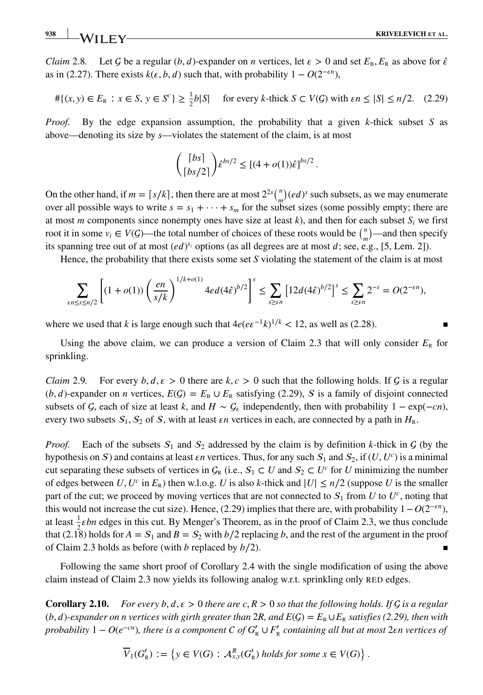**938 KRIVELEVICH ET AL. KRIVELEVICH ET AL.** 

*Claim* 2.8. Let G be a regular  $(b, d)$ -expander on *n* vertices, let  $\varepsilon > 0$  and set  $E_{\rm B}$ ,  $E_{\rm R}$  as above for  $\hat{\varepsilon}$ as in (2.27). There exists  $k(\varepsilon, b, d)$  such that, with probability  $1 - O(2^{-\varepsilon n})$ ,

$$
\# \{ (x, y) \in E_R : x \in S, y \in S^c \} \ge \frac{1}{2} b |S| \quad \text{for every } k \text{-thick } S \subset V(G) \text{ with } \varepsilon n \le |S| \le n/2. \tag{2.29}
$$

*Proof.* By the edge expansion assumption, the probability that a given *k*-thick subset *S* as above—denoting its size by *s*—violates the statement of the claim, is at most

$$
\binom{\lceil bs \rceil}{\lceil bs/2 \rceil} \hat{\varepsilon}^{bs/2} \leq \left[ (4 + o(1))\hat{\varepsilon} \right]^{bs/2}.
$$

On the other hand, if  $m = \lceil s/k \rceil$ , then there are at most  $2^{2s} {n \choose m} (ed)^s$  such subsets, as we may enumerate over all possible ways to write  $s = s_1 + \cdots + s_m$  for the subset sizes (some possibly empty; there are at most *m* components since nonempty ones have size at least  $k$ ), and then for each subset  $S_i$  we first root it in some  $v_i \in V(G)$ —the total number of choices of these roots would be  $\binom{n}{m}$ —and then specify its spanning tree out of at most  $(ed)^{s_i}$  options (as all degrees are at most  $d$ ; see, e.g., [5, Lem. 2]).

Hence, the probability that there exists some set *S* violating the statement of the claim is at most

$$
\sum_{\varepsilon n \le s \le n/2} \left[ (1+o(1)) \left( \frac{en}{s/k} \right)^{1/k+o(1)} 4ed(4\hat{\varepsilon})^{b/2} \right]^s \le \sum_{s \ge \varepsilon n} \left[ 12d(4\hat{\varepsilon})^{b/2} \right]^s \le \sum_{s \ge \varepsilon n} 2^{-s} = O(2^{-\varepsilon n}),
$$

where we used that *k* is large enough such that  $4e(e\epsilon^{-1}k)^{1/k}$  < 12, as well as (2.28). ■

Using the above claim, we can produce a version of Claim 2.3 that will only consider  $E_R$  for sprinkling.

*Claim* 2.9. For every  $b, d, \epsilon > 0$  there are  $k, c > 0$  such that the following holds. If G is a regular  $(b, d)$ -expander on *n* vertices,  $E(G) = E_B \cup E_R$  satisfying (2.29), S is a family of disjoint connected subsets of  $\mathcal{G}$ , each of size at least  $k$ , and  $H \sim \mathcal{G}_\varepsilon$  independently, then with probability  $1 - \exp(-cn)$ , every two subsets  $S_1$ ,  $S_2$  of S, with at least  $\epsilon n$  vertices in each, are connected by a path in  $H_R$ .

*Proof.* Each of the subsets  $S_1$  and  $S_2$  addressed by the claim is by definition *k*-thick in  $G$  (by the hypothesis on S) and contains at least *en* vertices. Thus, for any such  $S_1$  and  $S_2$ , if  $(U, U^c)$  is a minimal cut separating these subsets of vertices in  $C_R$  (i.e.,  $S_1 \subset U$  and  $S_2 \subset U^c$  for *U* minimizing the number of edges between *U*,  $U^c$  in  $E_R$ ) then w.l.o.g. *U* is also *k*-thick and  $|U| \le n/2$  (suppose *U* is the smaller part of the cut; we proceed by moving vertices that are not connected to  $S_1$  from *U* to  $U^c$ , noting that this would not increase the cut size). Hence, (2.29) implies that there are, with probability  $1 - O(2^{-\epsilon n})$ , at least  $\frac{1}{2}$ *ebn* edges in this cut. By Menger's Theorem, as in the proof of Claim 2.3, we thus conclude that (2.18) holds for  $A = S_1$  and  $B = S_2$  with  $b/2$  replacing *b*, and the rest of the argument in the proof of Claim 2.3 holds as before (with  $b$  replaced by  $b/2$ ).

Following the same short proof of Corollary 2.4 with the single modification of using the above claim instead of Claim 2.3 now yields its following analog w.r.t. sprinkling only RED edges.

**Corollary 2.10.** For every b,  $d, \varepsilon > 0$  there are c,  $R > 0$  so that the following holds. If  $\mathcal G$  is a regular  $(b, d)$ -expander on n vertices with girth greater than 2*R*, and  $E(G) = E_B \cup E_R$  satisfies (2.29), then with *probability*  $1 - O(e^{-cn})$ , there is a component  $C$  of  $G'_{R} \cup F'_{R}$  containing all but at most  $2\varepsilon n$  vertices of

$$
\overline{V}_1(G'_{\mathsf{R}}) := \left\{ y \in V(G) : \mathcal{A}_{x,y}^R(G'_{\mathsf{R}}) \text{ holds for some } x \in V(G) \right\}.
$$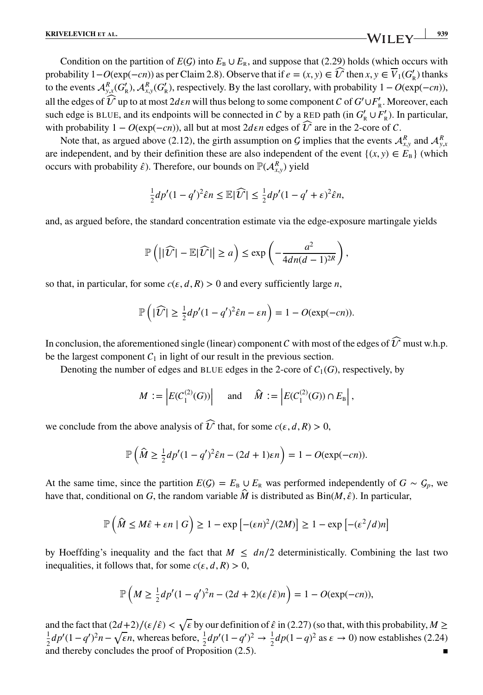Condition on the partition of  $E(G)$  into  $E_B \cup E_R$ , and suppose that (2.29) holds (which occurs with probability  $1-O(\exp(-cn))$  as per Claim 2.8). Observe that if  $e = (x, y) \in \widehat{U}$  then  $x, y \in \overline{V}_1(G'_{\mathbb{R}})$  thanks to the events  $\mathcal{A}_{y,x}^R(G'_{R}), \mathcal{A}_{x,y}^R(G'_{R})$ , respectively. By the last corollary, with probability 1 − *O*(exp(−*cn*)), all the edges of  $\widehat{U}$  up to at most  $2d\epsilon n$  will thus belong to some component  $C$  of  $G' \cup F'_{R}$ . Moreover, each such edge is BLUE, and its endpoints will be connected in *C* by a RED path (in  $G'_{R} \cup F'_{R}$ ). In particular, with probability  $1 - O(\exp(-cn))$ , all but at most  $2d\epsilon n$  edges of  $\widehat{U}$  are in the 2-core of C.

Note that, as argued above (2.12), the girth assumption on *G* implies that the events  $\mathcal{A}_{x,y}^R$  and  $\mathcal{A}_{y,x}^R$ are independent, and by their definition these are also independent of the event  $\{(x, y) \in E_B\}$  (which occurs with probability  $\hat{\epsilon}$ ). Therefore, our bounds on  $\mathbb{P}(\mathcal{A}_{x,y}^R)$  yield

$$
\frac{1}{2}dp'(1-q')^2\hat{\epsilon}n \leq \mathbb{E}|\widehat{\mathcal{U}}| \leq \frac{1}{2}dp'(1-q'+\epsilon)^2\hat{\epsilon}n,
$$

and, as argued before, the standard concentration estimate via the edge-exposure martingale yields

$$
\mathbb{P}\left(\left|\left|\widehat{U}\right|-\mathbb{E}|\widehat{U}|\right|\geq a\right)\leq \exp\left(-\frac{a^2}{4dn(d-1)^{2R}}\right),\right.
$$

so that, in particular, for some  $c(\epsilon, d, R) > 0$  and every sufficiently large *n*,

$$
\mathbb{P}\left(|\widehat{U}| \geq \frac{1}{2}dp'(1-q')^2\widehat{\epsilon}n - \epsilon n\right) = 1 - O(\exp(-cn)).
$$

In conclusion, the aforementioned single (linear) component  $c$  with most of the edges of  $\widehat{\mathcal{U}}$  must w.h.p. be the largest component  $C_1$  in light of our result in the previous section.

Denoting the number of edges and BLUE edges in the 2-core of  $C_1(G)$ , respectively, by

$$
M := \left| E(C_1^{(2)}(G)) \right| \quad \text{and} \quad \widehat{M} := \left| E(C_1^{(2)}(G)) \cap E_{\mathbb{B}} \right|,
$$

we conclude from the above analysis of  $\widehat{U}$  that, for some  $c(\varepsilon, d, R) > 0$ ,

$$
\mathbb{P}\left(\widehat{M}\geq \frac{1}{2}dp'(1-q')^2\widehat{\epsilon}n-(2d+1)\epsilon n\right)=1-O(\exp(-cn)).
$$

At the same time, since the partition  $E(G) = E_B \cup E_R$  was performed independently of  $G \sim G_p$ , we have that, conditional on *G*, the random variable  $\hat{M}$  is distributed as  $\text{Bin}(M, \hat{\varepsilon})$ . In particular,

$$
\mathbb{P}\left(\widehat{M} \le M\widehat{\epsilon} + \varepsilon n \mid G\right) \ge 1 - \exp\left[-(\varepsilon n)^2/(2M)\right] \ge 1 - \exp\left[-(\varepsilon^2/d)n\right]
$$

by Hoeffding's inequality and the fact that  $M \leq dn/2$  deterministically. Combining the last two inequalities, it follows that, for some  $c(\varepsilon, d, R) > 0$ ,

$$
\mathbb{P}\left(M \ge \frac{1}{2}dp'(1-q')^2n - (2d+2)(\varepsilon/\hat{\varepsilon})n\right) = 1 - O(\exp(-cn)),
$$

and the fact that  $\left(\frac{2d+2}{\epsilon\right) < \sqrt{\epsilon}$  by our definition of  $\hat{\epsilon}$  in (2.27) (so that, with this probability,  $M \ge$ 1  $\frac{1}{2}dp'(1-q')^2n-\sqrt{\epsilon}n$ , whereas before,  $\frac{1}{2}dp'(1-q')^2$  →  $\frac{1}{2}dp(1-q)^2$  as  $\epsilon \to 0$ ) now establishes (2.24) and thereby concludes the proof of Proposition  $(2.5)$ .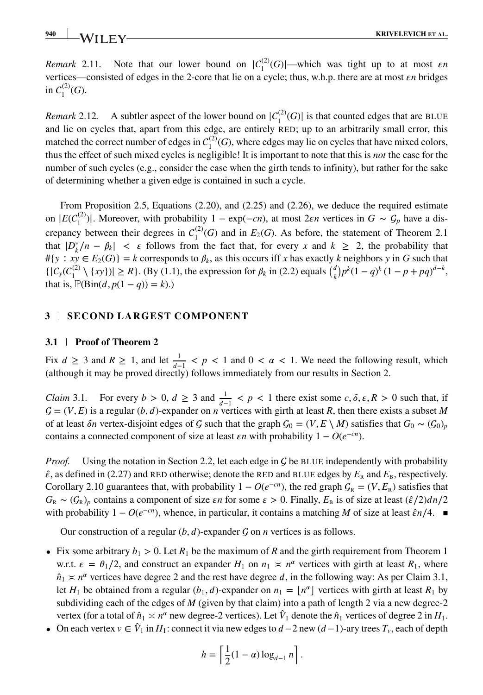*Remark* 2.11. Note that our lower bound on  $|C_1^{(2)}(G)|$ —which was tight up to at most *εn* vertices—consisted of edges in the 2-core that lie on a cycle; thus, w.h.p. there are at most *n* bridges in  $C_1^{(2)}(G)$ .

*Remark* 2.12. A subtler aspect of the lower bound on  $|C_1^{(2)}(G)|$  is that counted edges that are BLUE and lie on cycles that, apart from this edge, are entirely RED; up to an arbitrarily small error, this matched the correct number of edges in  $C_1^{(2)}(G)$ , where edges may lie on cycles that have mixed colors, thus the effect of such mixed cycles is negligible! It is important to note that this is *not* the case for the number of such cycles (e.g., consider the case when the girth tends to infinity), but rather for the sake of determining whether a given edge is contained in such a cycle.

From Proposition 2.5, Equations (2.20), and (2.25) and (2.26), we deduce the required estimate on  $|E(C_1^{(2)})|$ . Moreover, with probability  $1 - \exp(-cn)$ , at most  $2\epsilon n$  vertices in  $G \sim C_p$  have a discrepancy between their degrees in  $C_1^{(2)}(G)$  and in  $E_2(G)$ . As before, the statement of Theorem 2.1 that  $|D_k^*/n - \beta_k| < \varepsilon$  follows from the fact that, for every *x* and  $k \ge 2$ , the probability that  $#{y : xy ∈ E_2(G)} = k$  corresponds to  $\beta_k$ , as this occurs iff *x* has exactly *k* neighbors *y* in *G* such that  $\{ |C_y(C_1^{(2)} \setminus \{xy\})| \ge R \}$ . (By (1.1), the expression for  $\beta_k$  in (2.2) equals  $\binom{d}{k} p^k (1 - q)^k (1 - p + pq)^{d-k}$ , that is,  $\mathbb{P}(\text{Bin}(d, p(1 - q)) = k)$ .

### **3 SECOND LARGEST COMPONENT**

#### **3.1 Proof of Theorem 2**

Fix  $d \ge 3$  and  $R \ge 1$ , and let  $\frac{1}{d-1} < p < 1$  and  $0 < \alpha < 1$ . We need the following result, which (although it may be proved directly) follows immediately from our results in Section 2.

*Claim* 3.1. For every *b* > 0,  $d \ge 3$  and  $\frac{1}{d-1} < p < 1$  there exist some  $c, \delta, \varepsilon, R > 0$  such that, if  $\mathcal{G} = (V, E)$  is a regular  $(b, d)$ -expander on *n* vertices with girth at least *R*, then there exists a subset *M* of at least *on* vertex-disjoint edges of G such that the graph  $\mathcal{G}_0 = (V, E \setminus M)$  satisfies that  $G_0 \sim (\mathcal{G}_0)_p$ contains a connected component of size at least  $\epsilon n$  with probability  $1 - O(e^{-cn})$ .

*Proof.* Using the notation in Section 2.2, let each edge in  $\mathcal G$  be BLUE independently with probability  $\hat{\epsilon}$ , as defined in (2.27) and RED otherwise; denote the RED and BLUE edges by  $E_R$  and  $E_B$ , respectively. Corollary 2.10 guarantees that, with probability  $1 - O(e^{-cn})$ , the red graph  $G_R = (V, E_R)$  satisfies that  $G_R \sim (G_R)_p$  contains a component of size *en* for some  $\epsilon > 0$ . Finally,  $E_B$  is of size at least  $(\hat{\epsilon}/2)dn/2$ with probability 1 −  $O(e^{-cn})$ , whence, in particular, it contains a matching *M* of size at least  $\hat{\epsilon}n/4$ . ■

Our construction of a regular  $(b, d)$ -expander  $G$  on  $n$  vertices is as follows.

- Fix some arbitrary  $b_1 > 0$ . Let  $R_1$  be the maximum of R and the girth requirement from Theorem 1 w.r.t.  $\varepsilon = \theta_1/2$ , and construct an expander  $H_1$  on  $n_1 \times n^{\alpha}$  vertices with girth at least  $R_1$ , where  $\hat{n}_1 \times n^{\alpha}$  vertices have degree 2 and the rest have degree d, in the following way: As per Claim 3.1, let *H*<sub>1</sub> be obtained from a regular  $(b_1, d)$ -expander on  $n_1 = |n^{\alpha}|$  vertices with girth at least  $R_1$  by subdividing each of the edges of *M* (given by that claim) into a path of length 2 via a new degree-2 vertex (for a total of  $\hat{n}_1 \approx n^\alpha$  new degree-2 vertices). Let  $\hat{V}_1$  denote the  $\hat{n}_1$  vertices of degree 2 in  $H_1$ .
- On each vertex  $v \in V_1$  in  $H_1$ : connect it via new edges to  $d-2$  new  $(d-1)$ -ary trees  $T_v$ , each of depth

$$
h = \left\lceil \frac{1}{2} (1 - \alpha) \log_{d-1} n \right\rceil.
$$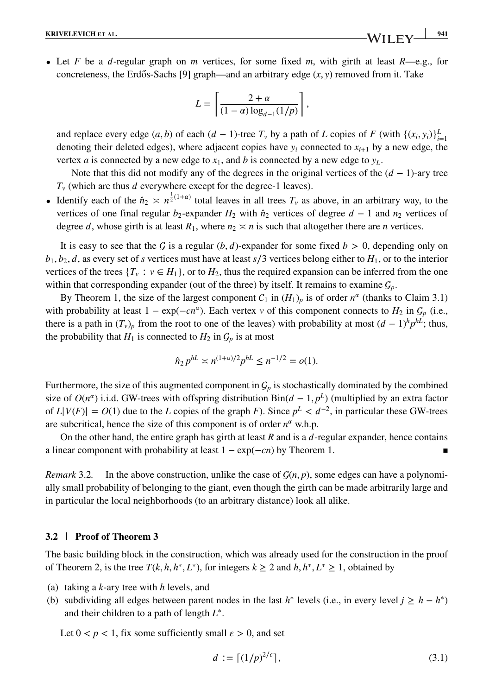• Let *F* be a *d*-regular graph on *m* vertices, for some fixed *m*, with girth at least  $R$ —e.g., for concreteness, the Erdős-Sachs [9] graph—and an arbitrary edge  $(x, y)$  removed from it. Take

$$
L = \left[ \frac{2 + \alpha}{(1 - \alpha) \log_{d-1}(1/p)} \right],
$$

and replace every edge  $(a, b)$  of each  $(d - 1)$ -tree  $T_v$  by a path of *L* copies of *F* (with  $\{(x_i, y_i)\}_{i=1}^L$ denoting their deleted edges), where adjacent copies have  $y_i$  connected to  $x_{i+1}$  by a new edge, the vertex *a* is connected by a new edge to  $x_1$ , and *b* is connected by a new edge to  $y_L$ .

Note that this did not modify any of the degrees in the original vertices of the  $(d - 1)$ -ary tree  $T<sub>v</sub>$  (which are thus *d* everywhere except for the degree-1 leaves).

• Identify each of the  $\hat{n}_2 \ge n^{\frac{1}{2}(1+\alpha)}$  total leaves in all trees  $T_\nu$  as above, in an arbitrary way, to the vertices of one final regular  $b_2$ -expander  $H_2$  with  $\hat{n}_2$  vertices of degree  $d-1$  and  $n_2$  vertices of degree d, whose girth is at least  $R_1$ , where  $n_2 \ge n$  is such that altogether there are *n* vertices.

It is easy to see that the G is a regular  $(b, d)$ -expander for some fixed  $b > 0$ , depending only on  $b_1, b_2, d$ , as every set of *s* vertices must have at least *s*/3 vertices belong either to  $H_1$ , or to the interior vertices of the trees  $\{T_v : v \in H_1\}$ , or to  $H_2$ , thus the required expansion can be inferred from the one within that corresponding expander (out of the three) by itself. It remains to examine  $\mathcal{G}_p$ .

By Theorem 1, the size of the largest component  $C_1$  in  $(H_1)_p$  is of order  $n^{\alpha}$  (thanks to Claim 3.1) with probability at least  $1 - \exp(-cn^{\alpha})$ . Each vertex *v* of this component connects to  $H_2$  in  $G_p$  (i.e., there is a path in  $(T_v)_p$  from the root to one of the leaves) with probability at most  $(d-1)^h p^{hL}$ ; thus, the probability that  $H_1$  is connected to  $H_2$  in  $G_p$  is at most

$$
\hat{n}_2 p^{hL} \asymp n^{(1+\alpha)/2} p^{hL} \le n^{-1/2} = o(1).
$$

Furthermore, the size of this augmented component in  $G_p$  is stochastically dominated by the combined size of  $O(n^{\alpha})$  i.i.d. GW-trees with offspring distribution Bin( $d - 1$ ,  $p^L$ ) (multiplied by an extra factor of  $L|V(F)| = O(1)$  due to the *L* copies of the graph *F*). Since  $p^L < d^{-2}$ , in particular these GW-trees are subcritical, hence the size of this component is of order  $n^{\alpha}$  w.h.p.

On the other hand, the entire graph has girth at least  $R$  and is a  $d$ -regular expander, hence contains a linear component with probability at least  $1 - \exp(-cn)$  by Theorem 1.

*Remark* 3.2. In the above construction, unlike the case of  $G(n, p)$ , some edges can have a polynomially small probability of belonging to the giant, even though the girth can be made arbitrarily large and in particular the local neighborhoods (to an arbitrary distance) look all alike.

#### **3.2 Proof of Theorem 3**

The basic building block in the construction, which was already used for the construction in the proof of Theorem 2, is the tree  $T(k, h, h^*, L^*)$ , for integers  $k \geq 2$  and  $h, h^*, L^* \geq 1$ , obtained by

- (a) taking a *k*-ary tree with *h* levels, and
- (b) subdividing all edges between parent nodes in the last  $h^*$  levels (i.e., in every level  $j \geq h h^*$ ) and their children to a path of length *L*<sup>∗</sup>.

Let  $0 < p < 1$ , fix some sufficiently small  $\varepsilon > 0$ , and set

$$
d := \lceil (1/p)^{2/\varepsilon} \rceil, \tag{3.1}
$$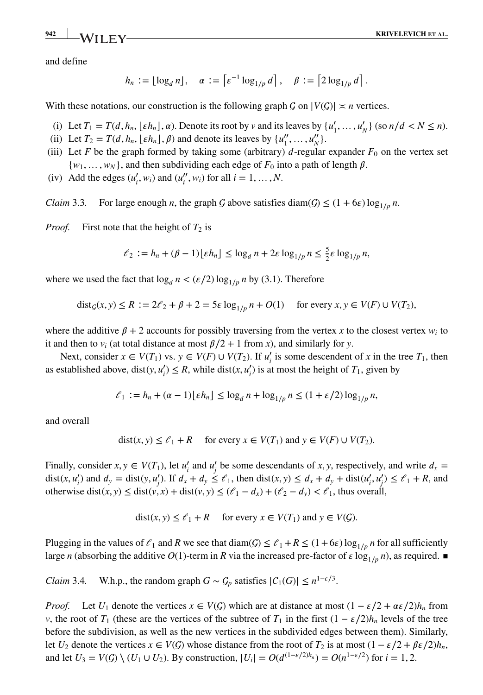and define

$$
h_n := \lfloor \log_d n \rfloor, \quad \alpha := \left\lceil \varepsilon^{-1} \log_{1/p} d \right\rceil, \quad \beta := \left\lceil 2 \log_{1/p} d \right\rceil.
$$

With these notations, our construction is the following graph  $G$  on  $|V(G)| \simeq n$  vertices.

- (i) Let  $T_1 = T(d, h_n, \lfloor \varepsilon h_n \rfloor, \alpha)$ . Denote its root by *v* and its leaves by  $\{u'_1, \ldots, u'_N\}$  (so  $n/d < N \le n$ ).
- (ii) Let  $T_2 = T(d, h_n, \lfloor \varepsilon h_n \rfloor, \beta)$  and denote its leaves by  $\{u''_1, \ldots, u''_N\}$ .
- (iii) Let *F* be the graph formed by taking some (arbitrary)  $d$ -regular expander  $F_0$  on the vertex set  $\{w_1, \ldots, w_N\}$ , and then subdividing each edge of  $F_0$  into a path of length  $\beta$ .
- (iv) Add the edges  $(u'_i, w_i)$  and  $(u''_i, w_i)$  for all  $i = 1, ..., N$ .

*Claim* 3.3. For large enough *n*, the graph *G* above satisfies diam( $G$ )  $\leq$  (1 + 6 $\varepsilon$ ) log<sub>1/*p*</sub> *n*.

*Proof.* First note that the height of  $T_2$  is

$$
\ell_2 := h_n + (\beta - 1)\lfloor \varepsilon h_n \rfloor \le \log_d n + 2\varepsilon \log_{1/p} n \le \frac{5}{2}\varepsilon \log_{1/p} n,
$$

where we used the fact that  $\log_d n < (\varepsilon/2) \log_{1/p} n$  by (3.1). Therefore

$$
dist_G(x, y) \le R := 2\ell_2 + \beta + 2 = 5\varepsilon \log_{1/p} n + O(1) \quad \text{for every } x, y \in V(F) \cup V(T_2),
$$

where the additive  $\beta + 2$  accounts for possibly traversing from the vertex *x* to the closest vertex  $w_i$  to it and then to  $v_i$  (at total distance at most  $\beta/2 + 1$  from *x*), and similarly for *y*.

Next, consider  $x \in V(T_1)$  vs.  $y \in V(F) \cup V(T_2)$ . If  $u'_i$  is some descendent of *x* in the tree  $T_1$ , then as established above, dist(*y*,  $u'_i$ )  $\leq R$ , while dist(*x*,  $u'_i$ ) is at most the height of  $T_1$ , given by

$$
\ell_1 := h_n + (\alpha - 1) \lfloor \varepsilon h_n \rfloor \le \log_d n + \log_{1/p} n \le (1 + \varepsilon/2) \log_{1/p} n,
$$

and overall

$$
dist(x, y) \le \ell_1 + R \quad \text{ for every } x \in V(T_1) \text{ and } y \in V(F) \cup V(T_2).
$$

Finally, consider  $x, y \in V(T_1)$ , let  $u'_i$  and  $u'_j$  be some descendants of  $x, y$ , respectively, and write  $d_x =$ dist(x, u'<sub>i</sub>) and  $d_y = \text{dist}(y, u'_j)$ . If  $d_x + d_y \le \ell_1$ , then  $\text{dist}(x, y) \le d_x + d_y + \text{dist}(u'_i, u'_j) \le \ell_1 + R$ , and otherwise dist(*x*, *y*)  $\leq$  dist(*v*, *x*) + dist(*v*, *y*)  $\leq$  ( $\ell_1 - d_x$ ) + ( $\ell_2 - d_y$ ) <  $\ell_1$ , thus overall,

$$
dist(x, y) \le \ell_1 + R \quad \text{for every } x \in V(T_1) \text{ and } y \in V(G).
$$

Plugging in the values of  $\ell_1$  and *R* we see that diam( $\mathcal{G}$ )  $\leq \ell_1 + R \leq (1 + 6\varepsilon) \log_{1/p} n$  for all sufficiently large *n* (absorbing the additive *O*(1)-term in *R* via the increased pre-factor of  $\varepsilon \log_{1/p} n$ ), as required. ■

*Claim* 3.4*.* W.h.p., the random graph  $G \sim \mathcal{G}_p$  satisfies  $|C_1(G)| \leq n^{1-\epsilon/3}$ .

*Proof.* Let  $U_1$  denote the vertices  $x \in V(G)$  which are at distance at most  $(1 - \varepsilon/2 + \alpha \varepsilon/2)h_n$  from *v*, the root of *T*<sub>1</sub> (these are the vertices of the subtree of *T*<sub>1</sub> in the first  $(1 - \varepsilon/2)h_n$  levels of the tree before the subdivision, as well as the new vertices in the subdivided edges between them). Similarly, let *U*<sub>2</sub> denote the vertices  $x \in V(G)$  whose distance from the root of  $T_2$  is at most  $(1 - \varepsilon/2 + \beta \varepsilon/2)h_n$ , and let  $U_3 = V(G) \setminus (U_1 \cup U_2)$ . By construction,  $|U_i| = O(d^{(1-\epsilon/2)h_n}) = O(n^{1-\epsilon/2})$  for  $i = 1, 2$ .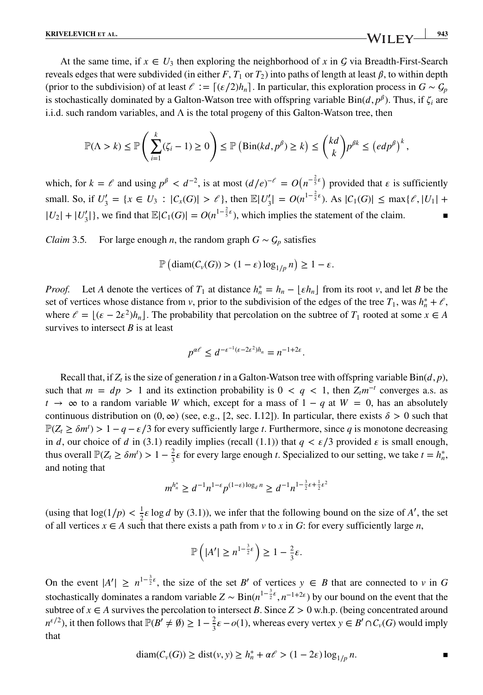At the same time, if  $x \in U_3$  then exploring the neighborhood of x in G via Breadth-First-Search reveals edges that were subdivided (in either  $F$ ,  $T_1$  or  $T_2$ ) into paths of length at least  $\beta$ , to within depth (prior to the subdivision) of at least  $\ell := [(\varepsilon/2)h_n]$ . In particular, this exploration process in  $G \sim G_p$ is stochastically dominated by a Galton-Watson tree with offspring variable  $\text{Bin}(d, p^{\beta})$ . Thus, if  $\zeta_i$  are i.i.d. such random variables, and  $\Lambda$  is the total progeny of this Galton-Watson tree, then

$$
\mathbb{P}(\Lambda > k) \le \mathbb{P}\left(\sum_{i=1}^k (\zeta_i - 1) \ge 0\right) \le \mathbb{P}\left(\text{Bin}(kd, p^\beta) \ge k\right) \le \binom{kd}{k} p^{\beta k} \le \left(\frac{ed p^\beta}{k}\right)^k,
$$

which, for  $k = \ell$  and using  $p^{\beta} < d^{-2}$ , is at most  $(d/e)^{-\ell} = O(n^{-\frac{2}{5}\epsilon})$  provided that  $\epsilon$  is sufficiently small. So, if  $U'_3 = \{x \in U_3 : |C_x(G)| > \ell\}$ , then  $\mathbb{E}|U'_3| = O(n^{1-\frac{2}{5}\epsilon})$ . As  $|C_1(G)| \le \max{\ell, |U_1| + \ell\}$  $|U_2| + |U'_3|$ , we find that  $\mathbb{E}|C_1(G)| = O(n^{1-\frac{2}{5}\epsilon})$ , which implies the statement of the claim.

*Claim* 3.5. For large enough *n*, the random graph  $G \sim G_p$  satisfies

$$
\mathbb{P}\left(\text{diam}(C_v(G)) > (1-\varepsilon)\log_{1/p} n\right) \ge 1-\varepsilon.
$$

*Proof.* Let *A* denote the vertices of  $T_1$  at distance  $h_n^* = h_n - \lfloor \varepsilon h_n \rfloor$  from its root *v*, and let *B* be the set of vertices whose distance from *v*, prior to the subdivision of the edges of the tree  $T_1$ , was  $h_n^* + \ell$ , where  $\ell = [(\epsilon - 2\epsilon^2)h_n]$ . The probability that percolation on the subtree of  $T_1$  rooted at some  $x \in A$ survives to intersect *B* is at least

$$
p^{\alpha\ell} \leq d^{-\varepsilon^{-1}(\varepsilon - 2\varepsilon^2)h_n} = n^{-1+2\varepsilon}.
$$

Recall that, if  $Z_t$  is the size of generation *t* in a Galton-Watson tree with offspring variable  $Bin(d, p)$ , such that  $m = dp > 1$  and its extinction probability is  $0 < q < 1$ , then  $Z_t m^{-t}$  converges a.s. as  $t \rightarrow \infty$  to a random variable *W* which, except for a mass of  $1 - q$  at  $W = 0$ , has an absolutely continuous distribution on  $(0, \infty)$  (see, e.g., [2, sec. I.12]). In particular, there exists  $\delta > 0$  such that  $\mathbb{P}(Z_t \ge \delta m^t) > 1 - q - \varepsilon/3$  for every sufficiently large *t*. Furthermore, since *q* is monotone decreasing in *d*, our choice of *d* in (3.1) readily implies (recall (1.1)) that  $q < \varepsilon/3$  provided  $\varepsilon$  is small enough, thus overall  $\mathbb{P}(Z_t \ge \delta m^t) > 1 - \frac{2}{3}\varepsilon$  for every large enough *t*. Specialized to our setting, we take  $t = h_n^*$ , and noting that

$$
m^{h_n^*} \ge d^{-1} n^{1-\epsilon} p^{(1-\epsilon)\log_d n} \ge d^{-1} n^{1-\frac{3}{2}\epsilon + \frac{1}{2}\epsilon^2}
$$

(using that  $\log(1/p) < \frac{1}{2} \varepsilon \log d$  by (3.1)), we infer that the following bound on the size of *A'*, the set of all vertices  $x \in A$  such that there exists a path from  $v$  to  $x$  in  $G$ : for every sufficiently large  $n$ ,

$$
\mathbb{P}\left(|A'|\geq n^{1-\frac{3}{2}\epsilon}\right)\geq 1-\frac{2}{3}\epsilon.
$$

On the event  $|A'| \ge n^{1-\frac{3}{2}\epsilon}$ , the size of the set *B'* of vertices  $y \in B$  that are connected to *v* in *G* stochastically dominates a random variable  $Z \sim Bin(n^{1-\frac{3}{2}\epsilon}, n^{-1+2\epsilon})$  by our bound on the event that the subtree of  $x \in A$  survives the percolation to intersect *B*. Since  $Z > 0$  w.h.p. (being concentrated around *n*<sup>ε/2</sup>), it then follows that  $\mathbb{P}(B' \neq \emptyset) \ge 1 - \frac{2}{3}\varepsilon - o(1)$ , whereas every vertex *y* ∈ *B'* ∩ *C<sub>v</sub>*(*G*) would imply that

$$
\operatorname{diam}(C_v(G)) \ge \operatorname{dist}(v, y) \ge h_n^* + \alpha \ell > (1 - 2\varepsilon) \log_{1/p} n.
$$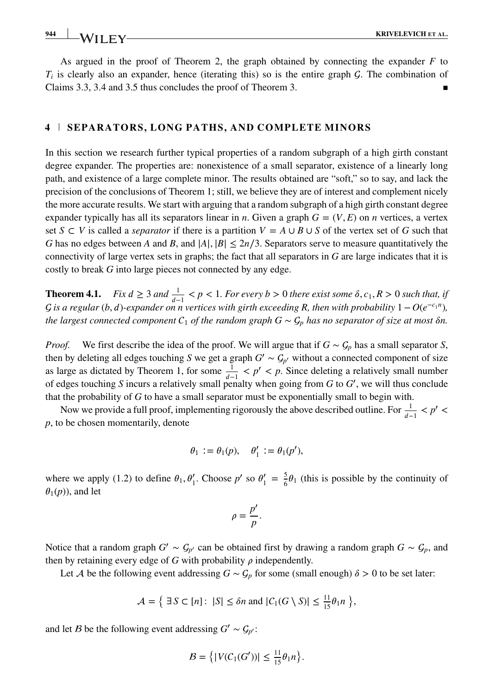# **944 KRIVELEVICH ET AL. KRIVELEVICH ET AL.**

As argued in the proof of Theorem 2, the graph obtained by connecting the expander *F* to  $T_i$  is clearly also an expander, hence (iterating this) so is the entire graph  $\mathcal G$ . The combination of Claims 3.3, 3.4 and 3.5 thus concludes the proof of Theorem 3.

## **4 SEPARATORS, LONG PATHS, AND COMPLETE MINORS**

In this section we research further typical properties of a random subgraph of a high girth constant degree expander. The properties are: nonexistence of a small separator, existence of a linearly long path, and existence of a large complete minor. The results obtained are "soft," so to say, and lack the precision of the conclusions of Theorem 1; still, we believe they are of interest and complement nicely the more accurate results. We start with arguing that a random subgraph of a high girth constant degree expander typically has all its separators linear in *n*. Given a graph  $G = (V, E)$  on *n* vertices, a vertex set *S* ⊂ *V* is called a *separator* if there is a partition  $V = A ∪ B ∪ S$  of the vertex set of *G* such that *G* has no edges between *A* and *B*, and  $|A|, |B| \leq 2n/3$ . Separators serve to measure quantitatively the connectivity of large vertex sets in graphs; the fact that all separators in *G* are large indicates that it is costly to break *G* into large pieces not connected by any edge.

**Theorem 4.1.** *Fix*  $d \geq 3$  *and*  $\frac{1}{d-1} < p < 1$ *. For every b*  $> 0$  *there exist some*  $\delta$ *,*  $c_1$ *, R*  $> 0$  *such that, if f is a regular* (*b*, *d*)-expander on n vertices with girth exceeding R, then with probability  $1 - O(e^{-c_1 n})$ , *the largest connected component*  $C_1$  *of the random graph*  $G \sim C_p$  *has no separator of size at most*  $\delta n$ .

*Proof.* We first describe the idea of the proof. We will argue that if  $G \sim \mathcal{G}_p$  has a small separator *S*, then by deleting all edges touching *S* we get a graph  $G' \sim G_{p'}$  without a connected component of size as large as dictated by Theorem 1, for some  $\frac{1}{d-1} < p' < p$ . Since deleting a relatively small number of edges touching *S* incurs a relatively small penalty when going from *G* to *G*′ , we will thus conclude that the probability of *G* to have a small separator must be exponentially small to begin with.

Now we provide a full proof, implementing rigorously the above described outline. For  $\frac{1}{d-1} < p' <$ *p*, to be chosen momentarily, denote

$$
\theta_1 := \theta_1(p), \quad \theta'_1 := \theta_1(p'),
$$

where we apply (1.2) to define  $\theta_1$ ,  $\theta'_1$ . Choose  $p'$  so  $\theta'_1 = \frac{5}{6}\theta_1$  (this is possible by the continuity of  $\theta_1(p)$ , and let

$$
\rho=\frac{p'}{p}.
$$

Notice that a random graph  $G' \sim G_{p'}$  can be obtained first by drawing a random graph  $G \sim G_p$ , and then by retaining every edge of  $G$  with probability  $\rho$  independently.

Let *A* be the following event addressing  $G \sim G_p$  for some (small enough)  $\delta > 0$  to be set later:

$$
\mathcal{A} = \left\{ \exists S \subset [n]: \ |S| \leq \delta n \text{ and } |C_1(G \setminus S)| \leq \frac{11}{15} \theta_1 n \right\},\
$$

and let *B* be the following event addressing  $G' \sim G_{p'}$ :

$$
B = \left\{ |V(C_1(G'))| \le \frac{11}{15} \theta_1 n \right\}.
$$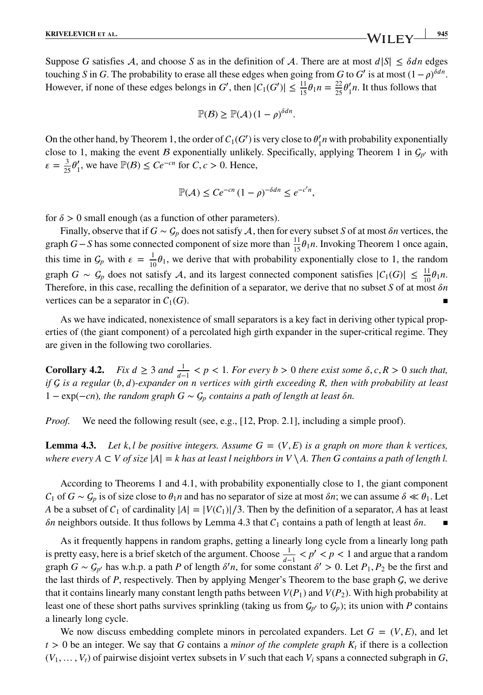Suppose *G* satisfies A, and choose *S* as in the definition of A. There are at most  $d|S| \leq \delta dn$  edges touching *S* in *G*. The probability to erase all these edges when going from *G* to *G'* is at most  $(1 - \rho)^{\delta d n}$ . However, if none of these edges belongs in *G'*, then  $|C_1(G')| \le \frac{11}{15} \theta_1 n = \frac{22}{25} \theta'_1 n$ . It thus follows that

$$
\mathbb{P}(\mathcal{B}) \geq \mathbb{P}(\mathcal{A})\left(1-\rho\right)^{\delta d n}.
$$

On the other hand, by Theorem 1, the order of  $C_1(G')$  is very close to  $\theta'_1 n$  with probability exponentially close to 1, making the event *B* exponentially unlikely. Specifically, applying Theorem 1 in  $\mathcal{G}_{p'}$  with  $\varepsilon = \frac{3}{25} \theta_1'$ , we have  $\mathbb{P}(B) \le Ce^{-cn}$  for  $C, c > 0$ . Hence,

$$
\mathbb{P}(\mathcal{A}) \le Ce^{-cn} (1 - \rho)^{-\delta dn} \le e^{-c'n},
$$

for  $\delta$  > 0 small enough (as a function of other parameters).

Finally, observe that if  $G \sim \mathcal{G}_p$  does not satisfy A, then for every subset *S* of at most  $\delta n$  vertices, the graph *G*−*S* has some connected component of size more than  $\frac{11}{15}$  $\theta_1 n$ . Invoking Theorem 1 once again, this time in  $G_p$  with  $\varepsilon = \frac{1}{10} \theta_1$ , we derive that with probability exponentially close to 1, the random graph *G* ∼ *G<sub>p</sub>* does not satisfy *A*, and its largest connected component satisfies  $|C_1(G)| \leq \frac{11}{10} \theta_1 n$ . Therefore, in this case, recalling the definition of a separator, we derive that no subset *S* of at most  $\delta n$ vertices can be a separator in  $C_1(G)$ .

As we have indicated, nonexistence of small separators is a key fact in deriving other typical properties of (the giant component) of a percolated high girth expander in the super-critical regime. They are given in the following two corollaries.

**Corollary 4.2.** *Fix*  $d \geq 3$  *and*  $\frac{1}{d-1} < p < 1$ *. For every*  $b > 0$  *there exist some*  $\delta, c, R > 0$  *such that, if is a regular* (*b,* )*-expander on n vertices with girth exceeding R, then with probability at least* 1 − exp(−*cn*)*, the random graph*  $G \sim G_p$  *contains a path of length at least*  $\delta n$ *.* 

*Proof.* We need the following result (see, e.g., [12, Prop. 2.1], including a simple proof).

**Lemma 4.3.** Let k, l be positive integers. Assume  $G = (V, E)$  is a graph on more than k vertices, *where every A*  $\subset$  *V* of size  $|A| = k$  has at least l neighbors in V \ A. Then G contains a path of length l.

According to Theorems 1 and 4.1, with probability exponentially close to 1, the giant component  $C_1$  of  $G \sim C_p$  is of size close to  $\theta_1 n$  and has no separator of size at most  $\delta n$ ; we can assume  $\delta \ll \theta_1$ . Let *A* be a subset of  $C_1$  of cardinality  $|A| = |V(C_1)|/3$ . Then by the definition of a separator, *A* has at least  $\delta n$  neighbors outside. It thus follows by Lemma 4.3 that  $C_1$  contains a path of length at least  $\delta n$ .

As it frequently happens in random graphs, getting a linearly long cycle from a linearly long path is pretty easy, here is a brief sketch of the argument. Choose  $\frac{1}{d-1} < p' < p < 1$  and argue that a random graph  $G \sim G_{p'}$  has w.h.p. a path *P* of length  $\delta' n$ , for some constant  $\delta' > 0$ . Let  $P_1, P_2$  be the first and the last thirds of  $P$ , respectively. Then by applying Menger's Theorem to the base graph  $G$ , we derive that it contains linearly many constant length paths between  $V(P_1)$  and  $V(P_2)$ . With high probability at least one of these short paths survives sprinkling (taking us from  $G_{p'}$  to  $G_p$ ); its union with *P* contains a linearly long cycle.

We now discuss embedding complete minors in percolated expanders. Let  $G = (V, E)$ , and let  $t > 0$  be an integer. We say that *G* contains a *minor of the complete graph*  $K_t$  if there is a collection  $(V_1, \ldots, V_t)$  of pairwise disjoint vertex subsets in V such that each  $V_i$  spans a connected subgraph in *G*,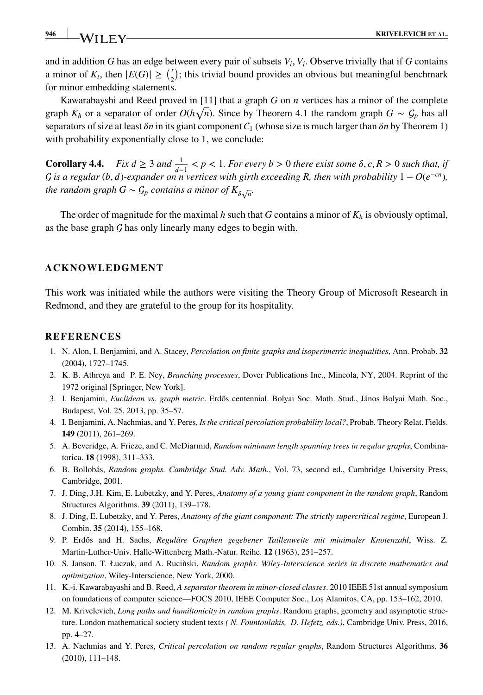**946 KRIVELEVICH** ET AL.

and in addition *G* has an edge between every pair of subsets  $V_i$ ,  $V_i$ . Observe trivially that if *G* contains a minor of  $K_t$ , then  $|E(G)| \geq {t \choose 2}$ ; this trivial bound provides an obvious but meaningful benchmark for minor embedding statements.

Kawarabayshi and Reed proved in [11] that a graph *G* on *n* vertices has a minor of the complete graph  $K_h$  or a separator of order  $O(h\sqrt{n})$ . Since by Theorem 4.1 the random graph  $G \sim G_p$  has all separators of size at least  $\delta n$  in its giant component  $C_1$  (whose size is much larger than  $\delta n$  by Theorem 1) with probability exponentially close to 1, we conclude:

**Corollary 4.4.** *Fix*  $d \geq 3$  *and*  $\frac{1}{d-1} < p < 1$ *. For every b*  $> 0$  *there exist some*  $\delta, c, R > 0$  *such that, if G* is a regular (*b*, *d*)-expander on n vertices with girth exceeding R, then with probability  $1 - O(e^{-cn})$ *, the random graph*  $G \sim \mathcal{G}_p$  *contains a minor of*  $K_{\delta\sqrt{n}}.$ 

The order of magnitude for the maximal *h* such that *G* contains a minor of  $K_h$  is obviously optimal, as the base graph  $G$  has only linearly many edges to begin with.

#### **ACKNOWLEDGMENT**

This work was initiated while the authors were visiting the Theory Group of Microsoft Research in Redmond, and they are grateful to the group for its hospitality.

# **REFERENCES**

- 1. N. Alon, I. Benjamini, and A. Stacey, *Percolation on finite graphs and isoperimetric inequalities*, Ann. Probab. **32** (2004), 1727–1745.
- 2. K. B. Athreya and P. E. Ney, *Branching processes*, Dover Publications Inc., Mineola, NY, 2004. Reprint of the 1972 original [Springer, New York].
- 3. I. Benjamini, *Euclidean vs. graph metric*. Erdős centennial. Bolyai Soc. Math. Stud., János Bolyai Math. Soc., Budapest, Vol. 25, 2013, pp. 35–57.
- 4. I. Benjamini, A. Nachmias, and Y. Peres, *Is the critical percolation probability local?*, Probab. Theory Relat. Fields. **149** (2011), 261–269.
- 5. A. Beveridge, A. Frieze, and C. McDiarmid, *Random minimum length spanning trees in regular graphs*, Combinatorica. **18** (1998), 311–333.
- 6. B. Bollobás, *Random graphs. Cambridge Stud. Adv. Math.*, Vol. 73, second ed., Cambridge University Press, Cambridge, 2001.
- 7. J. Ding, J.H. Kim, E. Lubetzky, and Y. Peres, *Anatomy of a young giant component in the random graph*, Random Structures Algorithms. **39** (2011), 139–178.
- 8. J. Ding, E. Lubetzky, and Y. Peres, *Anatomy of the giant component: The strictly supercritical regime*, European J. Combin. **35** (2014), 155–168.
- 9. P. Erdős and H. Sachs, Reguläre Graphen gegebener Taillenweite mit minimaler Knotenzahl, Wiss. Z. Martin-Luther-Univ. Halle-Wittenberg Math.-Natur. Reihe. **12** (1963), 251–257.
- 10. S. Janson, T. Łuczak, and A. Rucinski, ` *Random graphs. Wiley-Interscience series in discrete mathematics and optimization*, Wiley-Interscience, New York, 2000.
- 11. K.-i. Kawarabayashi and B. Reed, *A separator theorem in minor-closed classes*. 2010 IEEE 51st annual symposium on foundations of computer science—FOCS 2010, IEEE Computer Soc., Los Alamitos, CA, pp. 153–162, 2010.
- 12. M. Krivelevich, *Long paths and hamiltonicity in random graphs*. Random graphs, geometry and asymptotic structure. London mathematical society student texts *( N. Fountoulakis, D. Hefetz, eds.)*, Cambridge Univ. Press, 2016, pp. 4–27.
- 13. A. Nachmias and Y. Peres, *Critical percolation on random regular graphs*, Random Structures Algorithms. **36** (2010), 111–148.